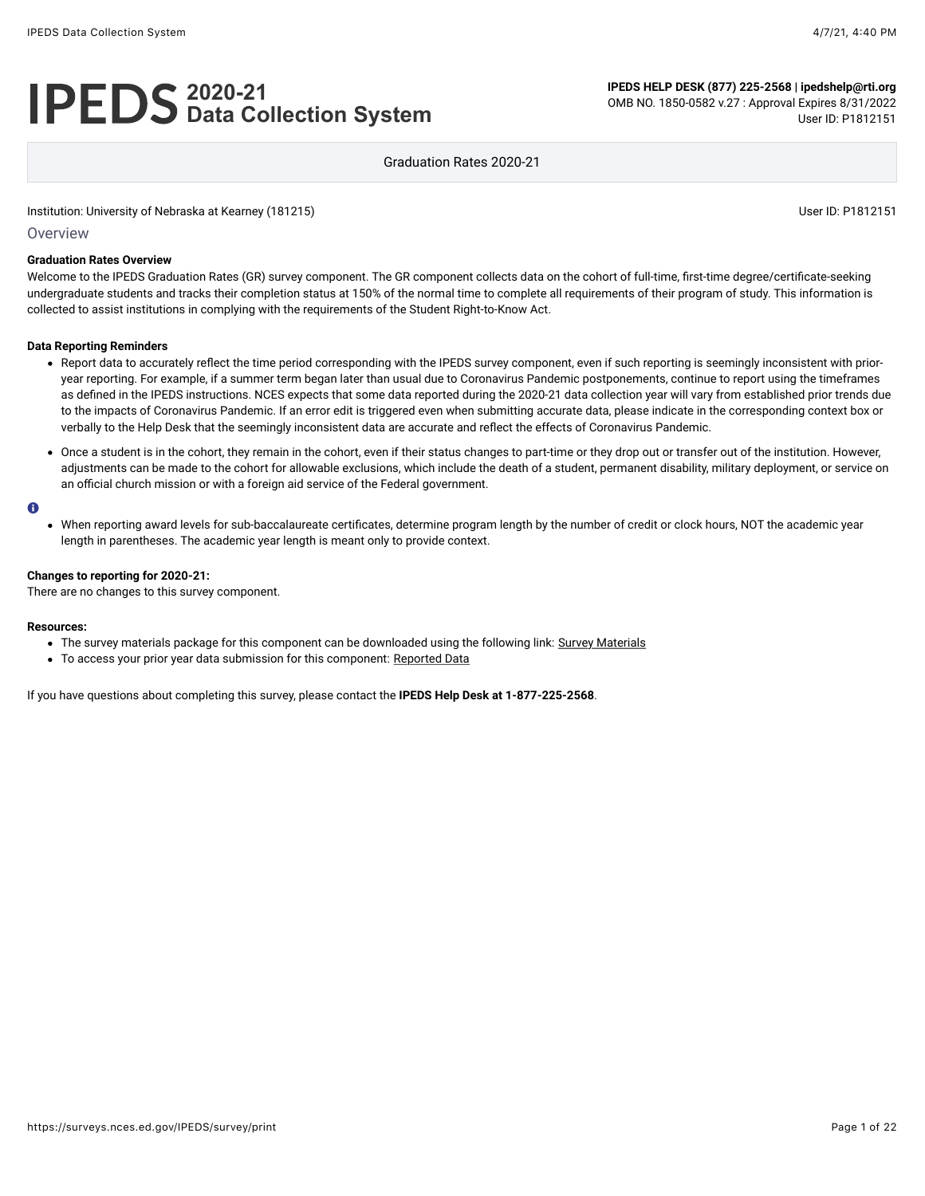# **2020-21 Data Collection System**

**IPEDS HELP DESK (877) 225-2568 | ipedshelp@rti.org** OMB NO. 1850-0582 v.27 : Approval Expires 8/31/2022 User ID: P1812151

Graduation Rates 2020-21

Institution: University of Nebraska at Kearney (181215) User ID: P1812151

**Overview** 

#### **Graduation Rates Overview**

Welcome to the IPEDS Graduation Rates (GR) survey component. The GR component collects data on the cohort of full-time, first-time degree/certificate-seeking undergraduate students and tracks their completion status at 150% of the normal time to complete all requirements of their program of study. This information is collected to assist institutions in complying with the requirements of the Student Right-to-Know Act.

#### **Data Reporting Reminders**

- Report data to accurately reflect the time period corresponding with the IPEDS survey component, even if such reporting is seemingly inconsistent with prioryear reporting. For example, if a summer term began later than usual due to Coronavirus Pandemic postponements, continue to report using the timeframes as defined in the IPEDS instructions. NCES expects that some data reported during the 2020-21 data collection year will vary from established prior trends due to the impacts of Coronavirus Pandemic. If an error edit is triggered even when submitting accurate data, please indicate in the corresponding context box or verbally to the Help Desk that the seemingly inconsistent data are accurate and reflect the effects of Coronavirus Pandemic.
- Once a student is in the cohort, they remain in the cohort, even if their status changes to part-time or they drop out or transfer out of the institution. However, adjustments can be made to the cohort for allowable exclusions, which include the death of a student, permanent disability, military deployment, or service on an official church mission or with a foreign aid service of the Federal government.

#### A

When reporting award levels for sub-baccalaureate certificates, determine program length by the number of credit or clock hours, NOT the academic year length in parentheses. The academic year length is meant only to provide context.

#### **Changes to reporting for 2020-21:**

There are no changes to this survey component.

#### **Resources:**

- The survey materials package for this component can be downloaded using the following link: [Survey Materials](https://surveys.nces.ed.gov/ipeds/public/survey-materials/index)
- To access your prior year data submission for this component: [Reported Data](https://surveys.nces.ed.gov/IPEDS_py/DataForms.aspx?f0e9e4efc4dfb8acb3acadacb0a1eef0edf1e0f4c4dfb8afa1f0eee0edc4dfb8cbacb3acadacb0aca1f0e9e4efc9dce8e0b8d0e9e4f1e0edeee4eff49beae19bc9e0ddeddceee6dc9bdcef9bc6e0dcede9e0f4a1ebedeadee0eeeeb8e0f3efe0ede9dce7a1eddfefb8afaab2aaadabadac9bb0b5afabb5acb09bcbc8)

If you have questions about completing this survey, please contact the **IPEDS Help Desk at 1-877-225-2568**.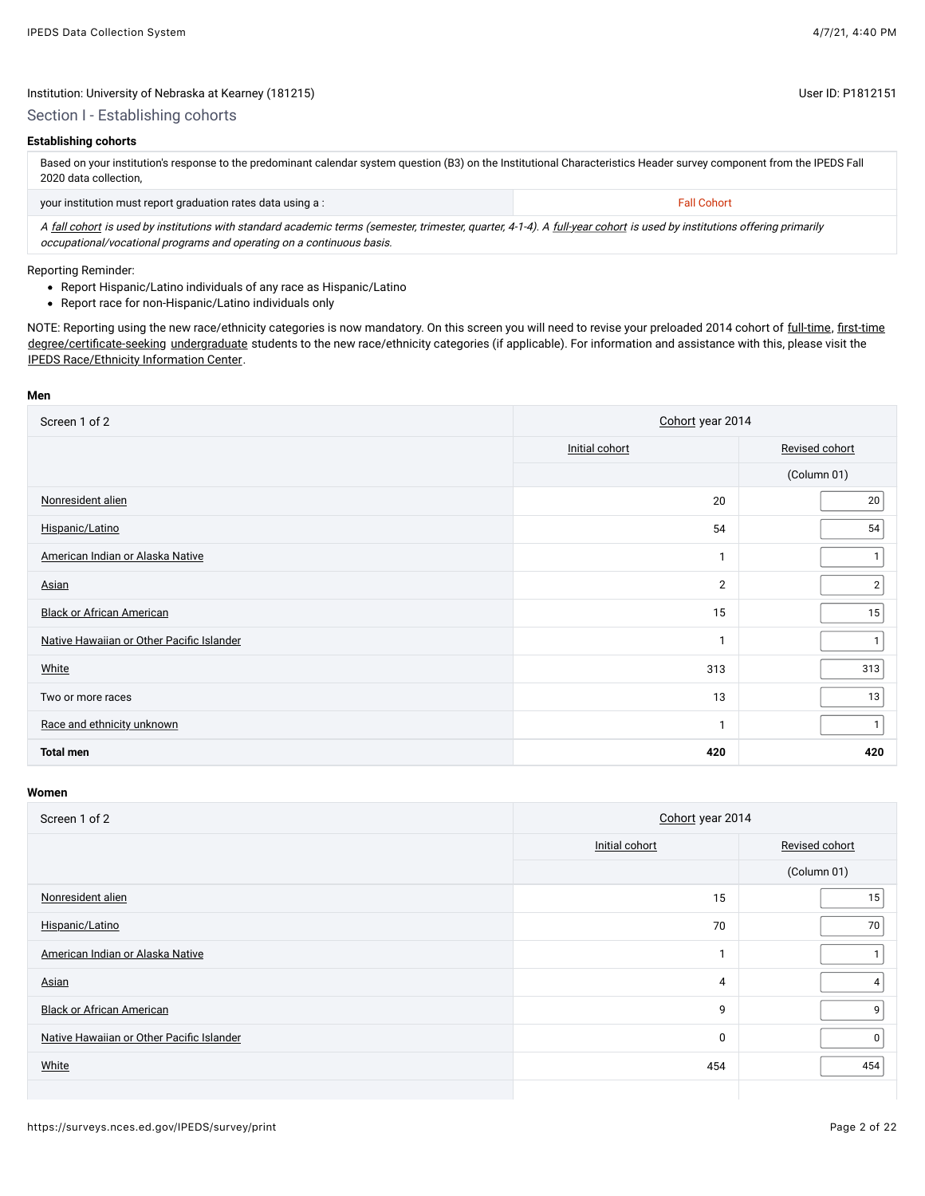## Section I - Establishing cohorts

## **Establishing cohorts**

Based on your institution's response to the predominant calendar system question (B3) on the Institutional Characteristics Header survey component from the IPEDS Fall 2020 data collection,

| your institution must report graduation rates data using a :                                                                                                            | <b>Fall Cohort</b> |
|-------------------------------------------------------------------------------------------------------------------------------------------------------------------------|--------------------|
| A fall cohort is used by institutions with standard academic terms (semester, trimester, quarter, 4-1-4). A full-year cohort is used by institutions offering primarily |                    |

occupational/vocational programs and operating on a continuous basis.

### Reporting Reminder:

- Report Hispanic/Latino individuals of any race as Hispanic/Latino
- Report race for non-Hispanic/Latino individuals only

NOTE: Reporting using the new race/ethnicity categories is now mandatory. On this screen you will need to revise your preloaded 2014 cohort of [full-time,](javascript:openglossary(259)) [first-time](javascript:openglossary(241)) [degree/certificate-seeking](javascript:openglossary(171)) [undergraduate](javascript:openglossary(677)) students to the new race/ethnicity categories (if applicable). For information and assistance with this, please visit the [IPEDS Race/Ethnicity Information Center.](https://nces.ed.gov/ipeds/report-your-data/resource-center-race-ethnicity)

#### **Men**

| Screen 1 of 2                             | Cohort year 2014 |                |  |
|-------------------------------------------|------------------|----------------|--|
|                                           | Initial cohort   | Revised cohort |  |
|                                           |                  | (Column 01)    |  |
| Nonresident alien                         | 20               | 20             |  |
| Hispanic/Latino                           | 54               | 54             |  |
| American Indian or Alaska Native          | -1               |                |  |
| Asian                                     | 2                | $\overline{2}$ |  |
| <b>Black or African American</b>          | 15               | 15             |  |
| Native Hawaiian or Other Pacific Islander | -1               |                |  |
| White                                     | 313              | 313            |  |
| Two or more races                         | 13               | 13             |  |
| Race and ethnicity unknown                | $\mathbf{1}$     | 1              |  |
| <b>Total men</b>                          | 420              | 420            |  |

| Screen 1 of 2                             | Cohort year 2014 |                |  |
|-------------------------------------------|------------------|----------------|--|
|                                           | Initial cohort   | Revised cohort |  |
|                                           |                  | (Column 01)    |  |
| Nonresident alien                         | 15               | 15             |  |
| Hispanic/Latino                           | 70               | 70             |  |
| American Indian or Alaska Native          |                  |                |  |
| Asian                                     | 4                | 4              |  |
| <b>Black or African American</b>          | 9                | 9              |  |
| Native Hawaiian or Other Pacific Islander | 0                | 0              |  |
| White                                     | 454              | 454            |  |
|                                           |                  |                |  |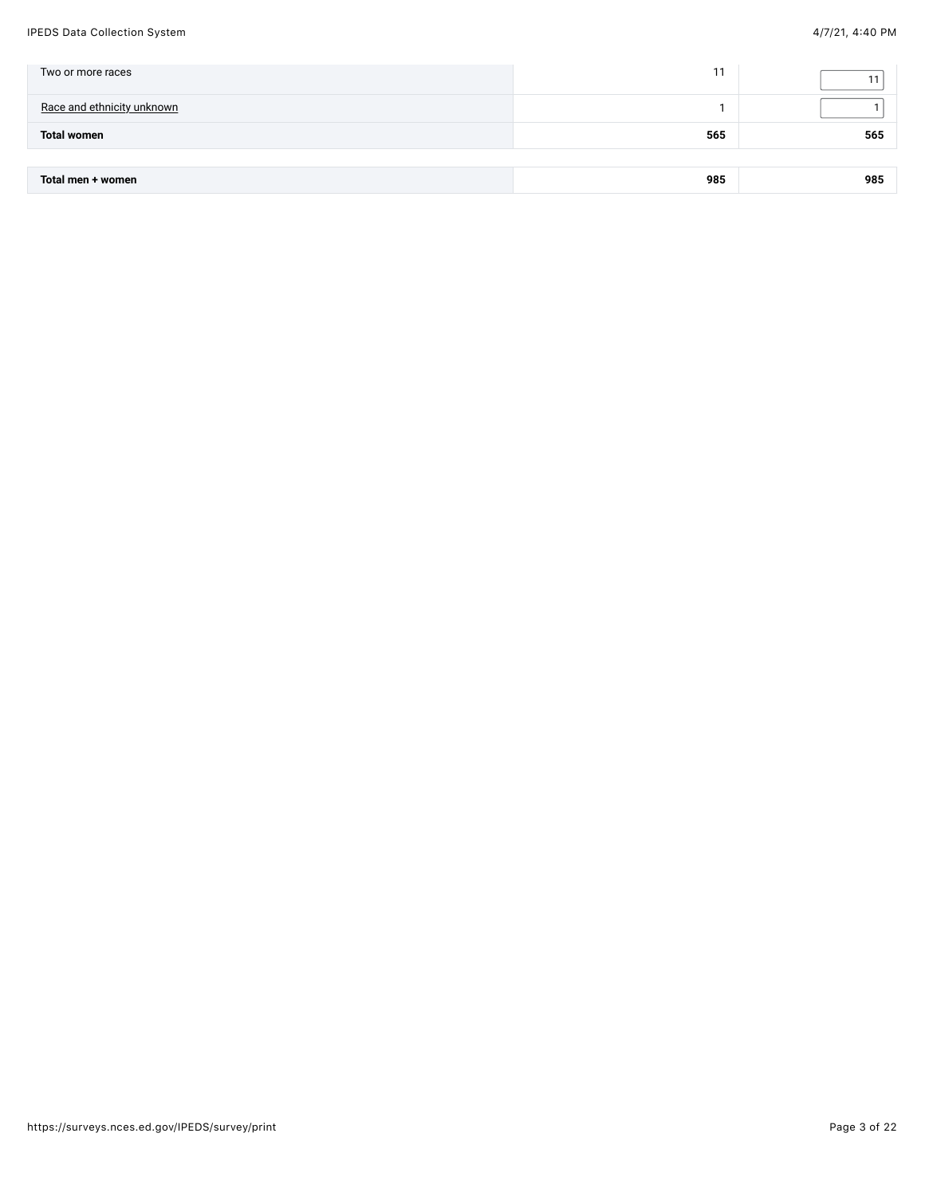#### IPEDS Data Collection System 4/7/21, 4:40 PM

| Two or more races          |     |     |
|----------------------------|-----|-----|
| Race and ethnicity unknown |     |     |
| <b>Total women</b>         | 565 | 565 |
|                            |     |     |

| 985<br>985<br>women<br>Tota.<br>men -<br>$ -$<br>$ -$ |
|-------------------------------------------------------|
|-------------------------------------------------------|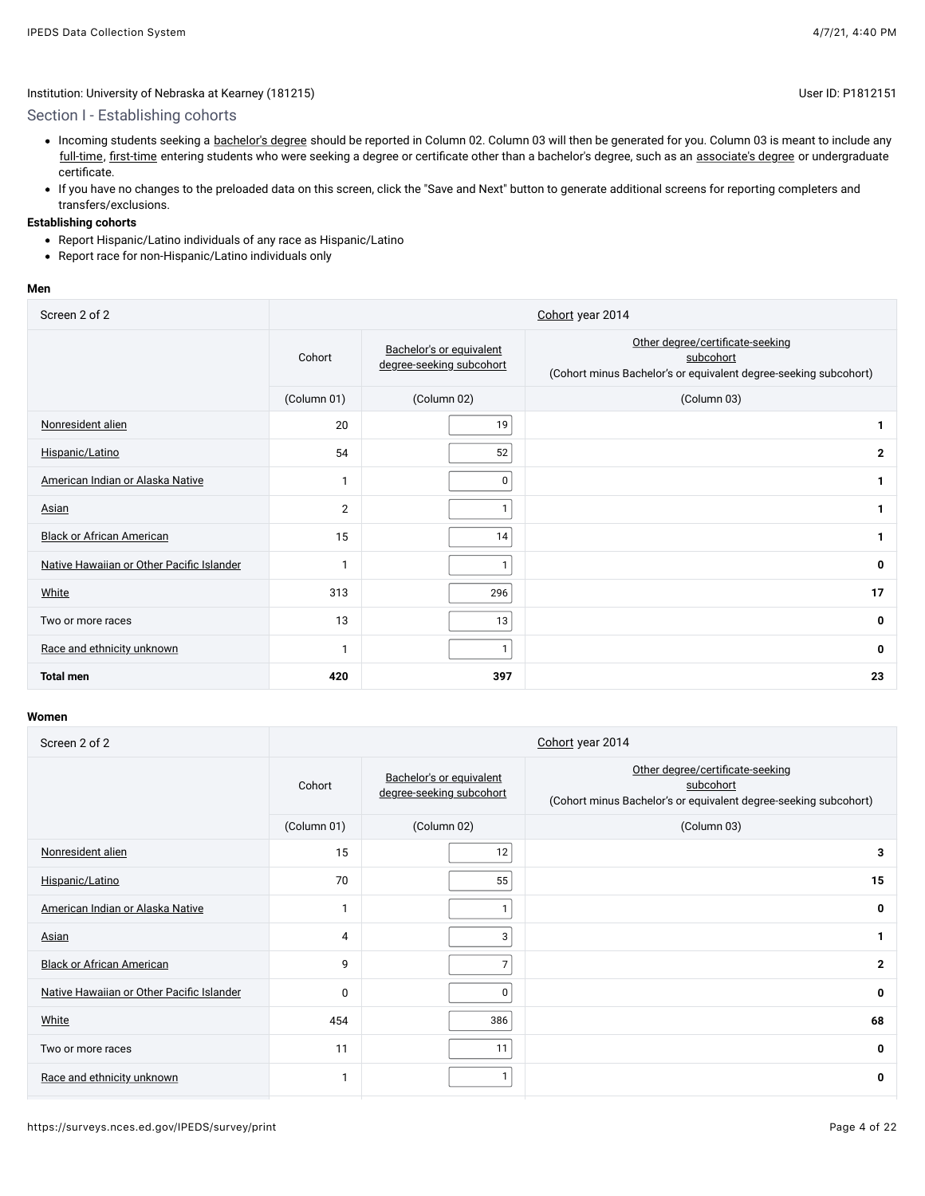## Section I - Establishing cohorts

- Incoming students seeking a [bachelor's degree](javascript:openglossary(77)) should be reported in Column 02. Column 03 will then be generated for you. Column 03 is meant to include any [full-time,](javascript:openglossary(259)) [first-time](javascript:openglossary(241)) entering students who were seeking a degree or certificate other than a bachelor's degree, such as an [associate's degree](javascript:openglossary(55)) or undergraduate certificate.
- If you have no changes to the preloaded data on this screen, click the "Save and Next" button to generate additional screens for reporting completers and transfers/exclusions.

#### **Establishing cohorts**

- Report Hispanic/Latino individuals of any race as Hispanic/Latino
- Report race for non-Hispanic/Latino individuals only

#### **Men**

| Screen 2 of 2                             |                | Cohort year 2014                                     |                                                                                                                   |  |  |  |
|-------------------------------------------|----------------|------------------------------------------------------|-------------------------------------------------------------------------------------------------------------------|--|--|--|
|                                           | Cohort         | Bachelor's or equivalent<br>degree-seeking subcohort | Other degree/certificate-seeking<br>subcohort<br>(Cohort minus Bachelor's or equivalent degree-seeking subcohort) |  |  |  |
|                                           | (Column 01)    | (Column 02)                                          | (Column 03)                                                                                                       |  |  |  |
| Nonresident alien                         | 20             | 19                                                   | 1                                                                                                                 |  |  |  |
| Hispanic/Latino                           | 54             | 52                                                   | $\overline{2}$                                                                                                    |  |  |  |
| American Indian or Alaska Native          | $\mathbf{1}$   | 0                                                    |                                                                                                                   |  |  |  |
| Asian                                     | $\overline{2}$ |                                                      | 1                                                                                                                 |  |  |  |
| <b>Black or African American</b>          | 15             | 14                                                   | 1                                                                                                                 |  |  |  |
| Native Hawaiian or Other Pacific Islander | $\mathbf{1}$   |                                                      | 0                                                                                                                 |  |  |  |
| White                                     | 313            | 296                                                  | 17                                                                                                                |  |  |  |
| Two or more races                         | 13             | 13                                                   | 0                                                                                                                 |  |  |  |
| Race and ethnicity unknown                | $\mathbf{1}$   | 1                                                    | 0                                                                                                                 |  |  |  |
| <b>Total men</b>                          | 420            | 397                                                  | 23                                                                                                                |  |  |  |

| Screen 2 of 2                             |                | Cohort year 2014                                     |                                                                                                                   |  |  |
|-------------------------------------------|----------------|------------------------------------------------------|-------------------------------------------------------------------------------------------------------------------|--|--|
|                                           | Cohort         | Bachelor's or equivalent<br>degree-seeking subcohort | Other degree/certificate-seeking<br>subcohort<br>(Cohort minus Bachelor's or equivalent degree-seeking subcohort) |  |  |
|                                           | (Column 01)    | (Column 02)                                          | (Column 03)                                                                                                       |  |  |
| Nonresident alien                         | 15             | 12                                                   | 3                                                                                                                 |  |  |
| Hispanic/Latino                           | 70             | 55                                                   | 15                                                                                                                |  |  |
| American Indian or Alaska Native          |                | 1                                                    | 0                                                                                                                 |  |  |
| Asian                                     | $\overline{4}$ | 3                                                    |                                                                                                                   |  |  |
| <b>Black or African American</b>          | 9              | $\overline{7}$                                       | $\mathbf{2}$                                                                                                      |  |  |
| Native Hawaiian or Other Pacific Islander | $\mathbf 0$    | 0                                                    | 0                                                                                                                 |  |  |
| White                                     | 454            | 386                                                  | 68                                                                                                                |  |  |
| Two or more races                         | 11             | 11                                                   | 0                                                                                                                 |  |  |
| Race and ethnicity unknown                |                |                                                      | 0                                                                                                                 |  |  |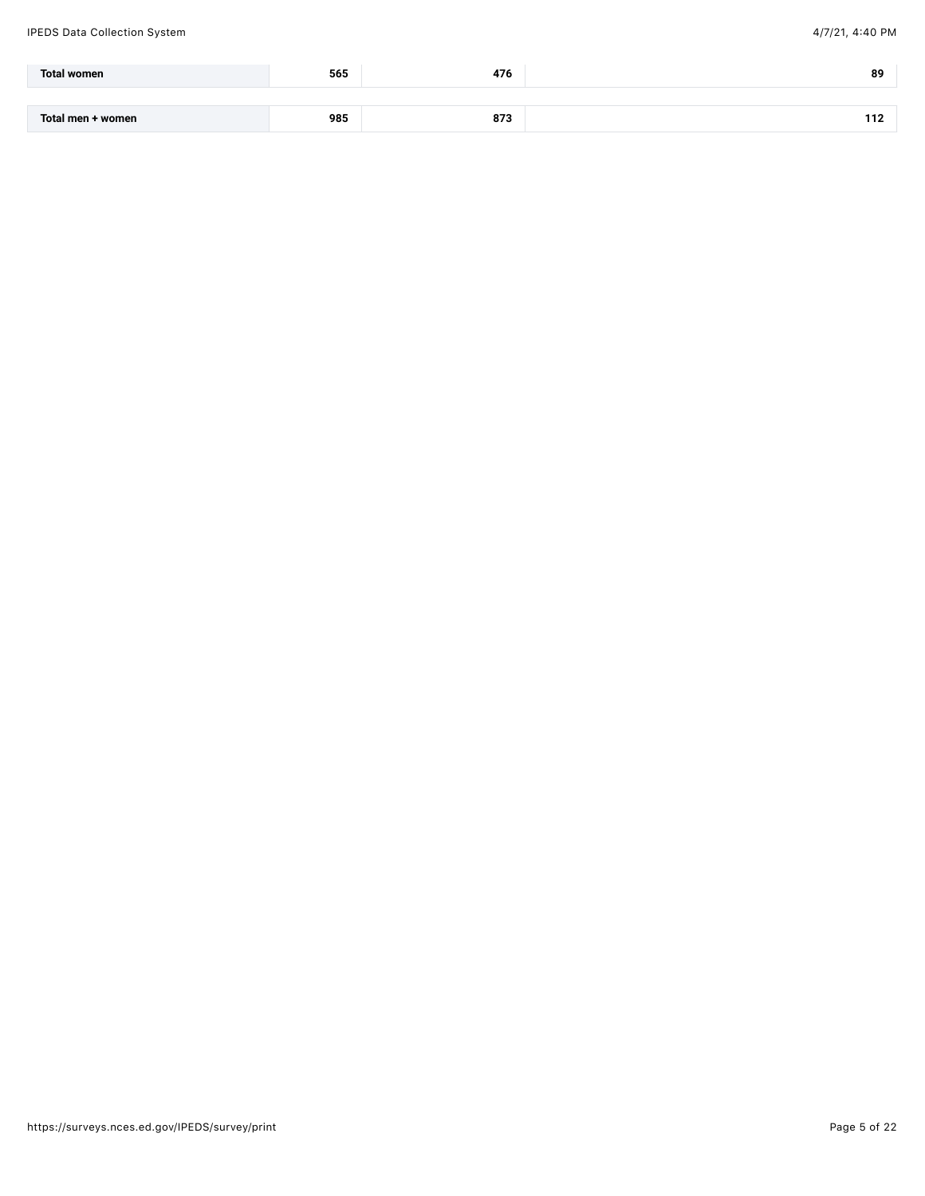| <b>Total women</b> | 565 | $1 - r$ | 89  |
|--------------------|-----|---------|-----|
|                    |     |         |     |
| Total men + women  | 985 | 873     | 112 |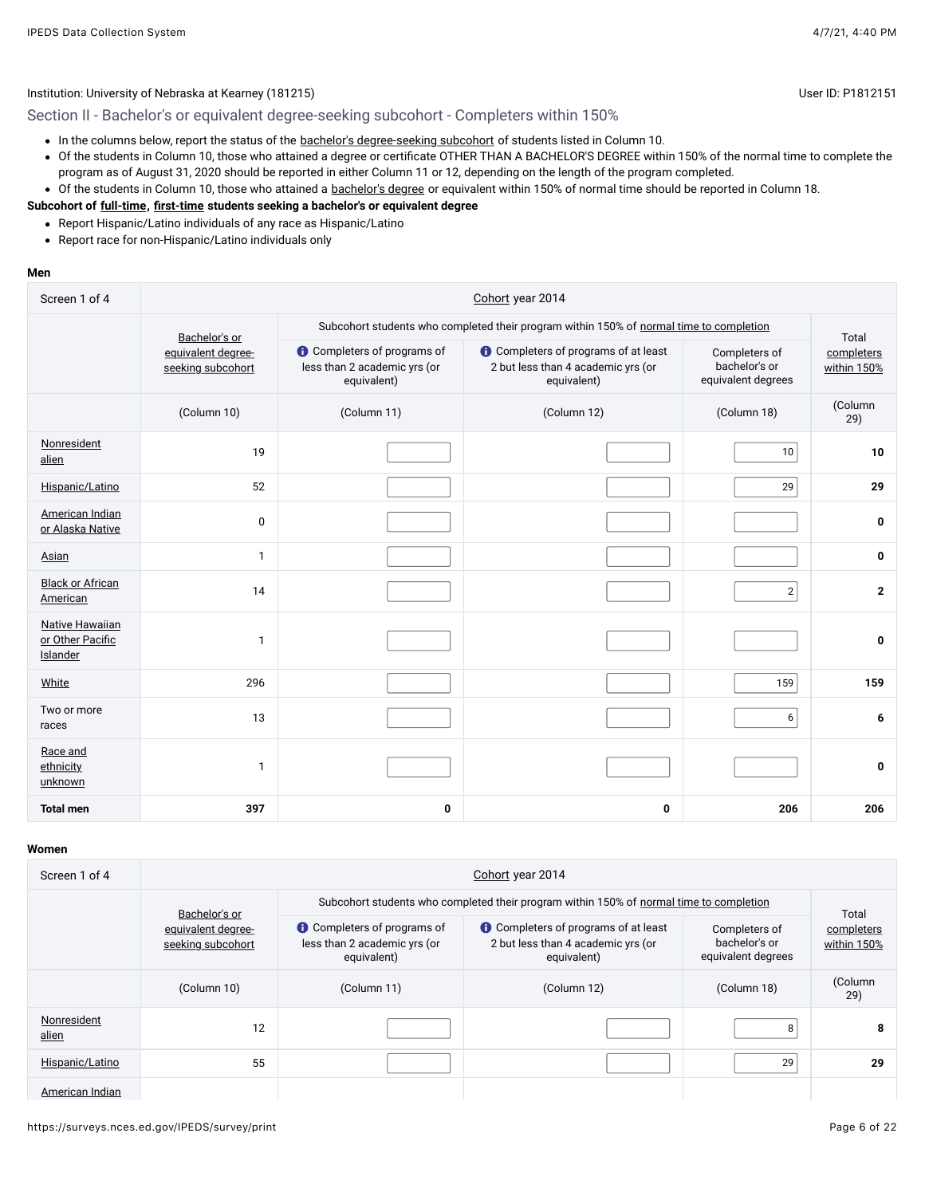Section II - Bachelor's or equivalent degree-seeking subcohort - Completers within 150%

- In the columns below, report the status of the [bachelor's degree-seeking subcohort](javascript:openglossary(79)) of students listed in Column 10.
- Of the students in Column 10, those who attained a degree or certificate OTHER THAN A BACHELOR'S DEGREE within 150% of the normal time to complete the program as of August 31, 2020 should be reported in either Column 11 or 12, depending on the length of the program completed.
- Of the students in Column 10, those who attained a [bachelor's degree](javascript:openglossary(77)) or equivalent within 150% of normal time should be reported in Column 18.

### **Subcohort of [full-time](javascript:openglossary(259)), [first-time](javascript:openglossary(241)) students seeking a bachelor's or equivalent degree**

- Report Hispanic/Latino individuals of any race as Hispanic/Latino
- Report race for non-Hispanic/Latino individuals only

#### **Men**

| Screen 1 of 4                                          | Cohort year 2014                        |                                                                                         |                                                                                         |                                                      |                                    |  |  |
|--------------------------------------------------------|-----------------------------------------|-----------------------------------------------------------------------------------------|-----------------------------------------------------------------------------------------|------------------------------------------------------|------------------------------------|--|--|
|                                                        | Bachelor's or                           | Subcohort students who completed their program within 150% of normal time to completion |                                                                                         |                                                      |                                    |  |  |
|                                                        | equivalent degree-<br>seeking subcohort | <b>O</b> Completers of programs of<br>less than 2 academic yrs (or<br>equivalent)       | Completers of programs of at least<br>2 but less than 4 academic yrs (or<br>equivalent) | Completers of<br>bachelor's or<br>equivalent degrees | Total<br>completers<br>within 150% |  |  |
|                                                        | (Column 10)                             | (Column 11)                                                                             | (Column 12)                                                                             | (Column 18)                                          | (Column<br>29)                     |  |  |
| Nonresident<br>alien                                   | 19                                      |                                                                                         |                                                                                         | 10                                                   | 10                                 |  |  |
| Hispanic/Latino                                        | 52                                      |                                                                                         |                                                                                         | 29                                                   | 29                                 |  |  |
| American Indian<br>or Alaska Native                    | 0                                       |                                                                                         |                                                                                         |                                                      | 0                                  |  |  |
| Asian                                                  | $\mathbf{1}$                            |                                                                                         |                                                                                         |                                                      | $\bf{0}$                           |  |  |
| <b>Black or African</b><br>American                    | 14                                      |                                                                                         |                                                                                         | $\mathbf{2}$                                         | $\overline{2}$                     |  |  |
| <b>Native Hawaiian</b><br>or Other Pacific<br>Islander | $\mathbf{1}$                            |                                                                                         |                                                                                         |                                                      | 0                                  |  |  |
| White                                                  | 296                                     |                                                                                         |                                                                                         | 159                                                  | 159                                |  |  |
| Two or more<br>races                                   | 13                                      |                                                                                         |                                                                                         | 6                                                    | 6                                  |  |  |
| Race and<br>ethnicity<br>unknown                       | $\mathbf{1}$                            |                                                                                         |                                                                                         |                                                      | $\mathbf 0$                        |  |  |
| <b>Total men</b>                                       | 397                                     | 0                                                                                       | 0                                                                                       | 206                                                  | 206                                |  |  |

| Screen 1 of 4        | Cohort year 2014                        |                                                                                         |                                                                                         |                                                      |                                    |  |  |  |
|----------------------|-----------------------------------------|-----------------------------------------------------------------------------------------|-----------------------------------------------------------------------------------------|------------------------------------------------------|------------------------------------|--|--|--|
|                      | Bachelor's or                           | Subcohort students who completed their program within 150% of normal time to completion |                                                                                         |                                                      |                                    |  |  |  |
|                      | equivalent degree-<br>seeking subcohort | <b>Completers of programs of</b><br>less than 2 academic yrs (or<br>equivalent)         | Completers of programs of at least<br>2 but less than 4 academic yrs (or<br>equivalent) | Completers of<br>bachelor's or<br>equivalent degrees | Total<br>completers<br>within 150% |  |  |  |
|                      | (Column 10)                             | (Column 11)                                                                             | (Column 12)                                                                             | (Column 18)                                          | (Column<br>29)                     |  |  |  |
| Nonresident<br>alien | 12                                      |                                                                                         |                                                                                         | 8                                                    | 8                                  |  |  |  |
| Hispanic/Latino      | 55                                      |                                                                                         |                                                                                         | 29                                                   | 29                                 |  |  |  |
| American Indian      |                                         |                                                                                         |                                                                                         |                                                      |                                    |  |  |  |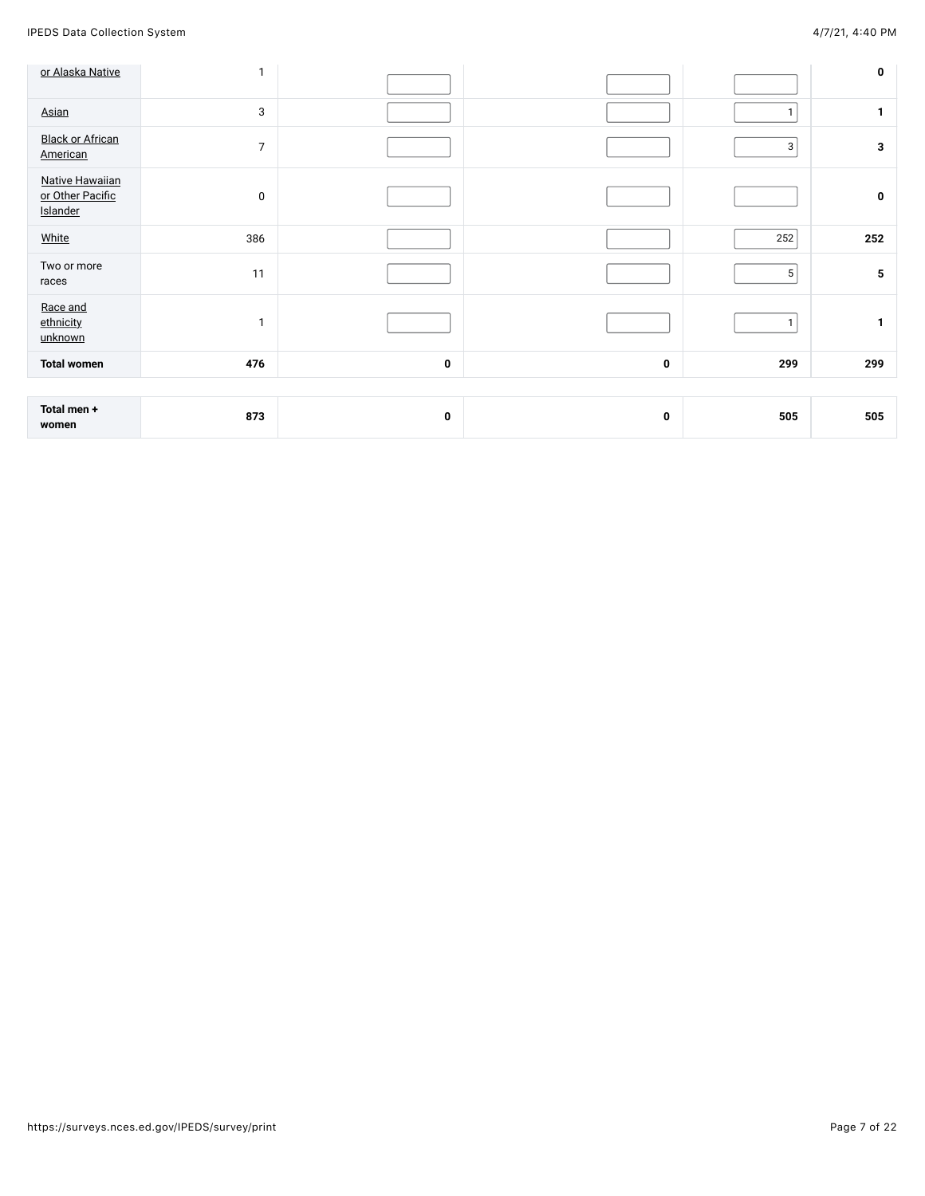IPEDS Data Collection System 4/7/21, 4:40 PM

| or Alaska Native                                       | $\mathbf{1}$   |   |   |                | $\pmb{0}$    |
|--------------------------------------------------------|----------------|---|---|----------------|--------------|
| Asian                                                  | 3              |   |   | $\mathbf{1}$   | $\mathbf{1}$ |
| <b>Black or African</b><br>American                    | $\overline{7}$ |   |   | $\mathbf{3}$   | $\mathbf{3}$ |
| <b>Native Hawaiian</b><br>or Other Pacific<br>Islander | 0              |   |   |                | $\pmb{0}$    |
| White                                                  | 386            |   |   | 252            | 252          |
| Two or more<br>races                                   | 11             |   |   | 5 <sup>2</sup> | ${\bf 5}$    |
| Race and<br>ethnicity<br>unknown                       | $\mathbf{1}$   |   |   | $\mathbf{1}$   | $\mathbf{1}$ |
| <b>Total women</b>                                     | 476            | 0 | 0 | 299            | 299          |
|                                                        |                |   |   |                |              |
| Total men +<br>women                                   | 873            | 0 | 0 | 505            | 505          |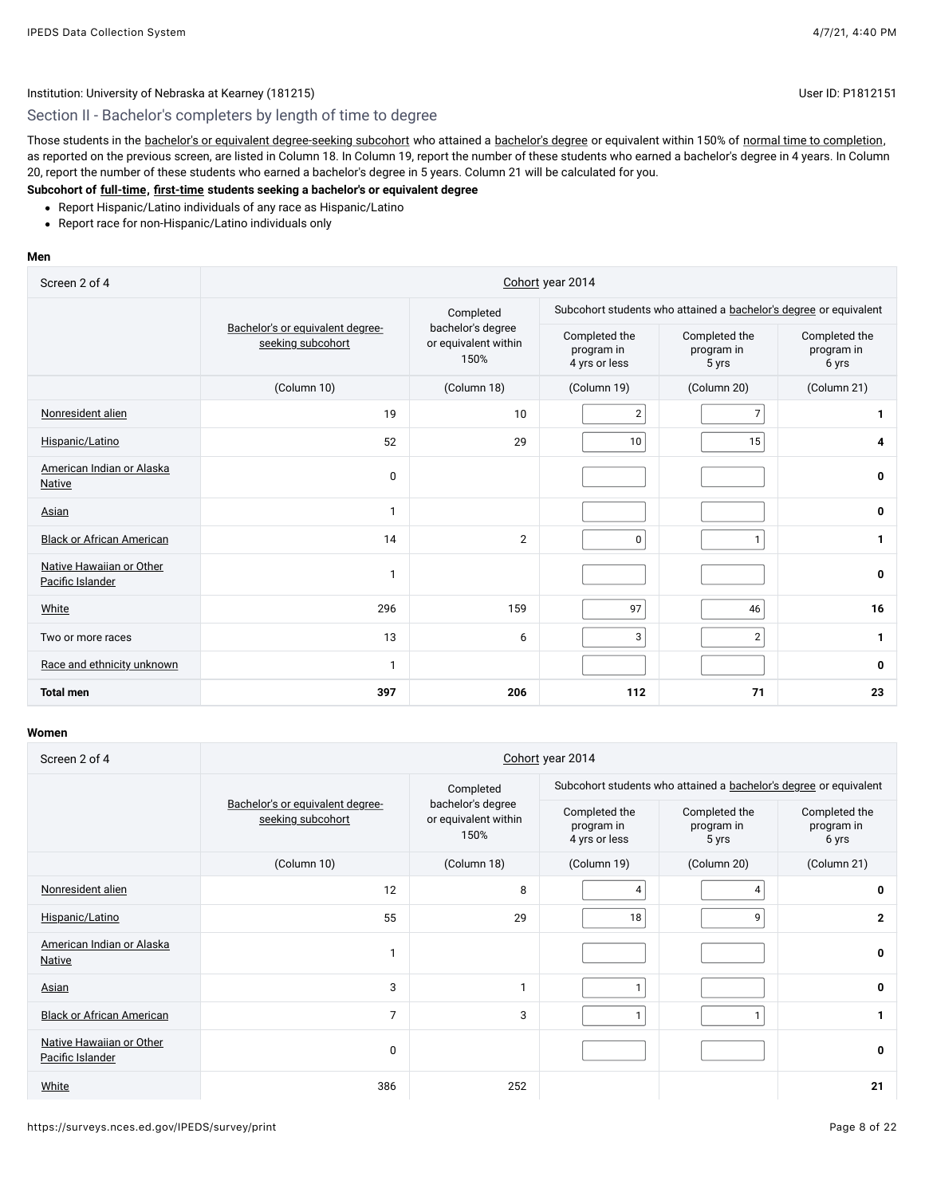## Section II - Bachelor's completers by length of time to degree

Those students in the [bachelor's or equivalent degree-seeking subcohort](javascript:openglossary(79)) who attained a [bachelor's degree](javascript:openglossary(77)) or equivalent within 150% of [normal time to completion,](javascript:openglossary(421)) as reported on the previous screen, are listed in Column 18. In Column 19, report the number of these students who earned a bachelor's degree in 4 years. In Column 20, report the number of these students who earned a bachelor's degree in 5 years. Column 21 will be calculated for you.

#### **Subcohort of [full-time](javascript:openglossary(259)), [first-time](javascript:openglossary(241)) students seeking a bachelor's or equivalent degree**

- Report Hispanic/Latino individuals of any race as Hispanic/Latino
- Report race for non-Hispanic/Latino individuals only

#### **Men**

| Screen 2 of 4                                | Cohort year 2014                                      |                                                   |                                                                   |                                      |                                      |  |  |
|----------------------------------------------|-------------------------------------------------------|---------------------------------------------------|-------------------------------------------------------------------|--------------------------------------|--------------------------------------|--|--|
|                                              |                                                       | Completed                                         | Subcohort students who attained a bachelor's degree or equivalent |                                      |                                      |  |  |
|                                              | Bachelor's or equivalent degree-<br>seeking subcohort | bachelor's degree<br>or equivalent within<br>150% | Completed the<br>program in<br>4 yrs or less                      | Completed the<br>program in<br>5 yrs | Completed the<br>program in<br>6 yrs |  |  |
|                                              | (Column 10)                                           | (Column 18)                                       | (Column 19)                                                       | (Column 20)                          | (Column 21)                          |  |  |
| Nonresident alien                            | 19                                                    | 10                                                | $\overline{\mathbf{c}}$                                           | $\overline{7}$                       | 1                                    |  |  |
| Hispanic/Latino                              | 52                                                    | 29                                                | 10                                                                | 15                                   | 4                                    |  |  |
| American Indian or Alaska<br><b>Native</b>   | $\mathbf 0$                                           |                                                   |                                                                   |                                      | 0                                    |  |  |
| Asian                                        | 1                                                     |                                                   |                                                                   |                                      | 0                                    |  |  |
| <b>Black or African American</b>             | 14                                                    | $\overline{2}$                                    | 0                                                                 | $\mathbf{1}$                         | 1                                    |  |  |
| Native Hawaiian or Other<br>Pacific Islander | $\mathbf{1}$                                          |                                                   |                                                                   |                                      | 0                                    |  |  |
| White                                        | 296                                                   | 159                                               | 97                                                                | 46                                   | 16                                   |  |  |
| Two or more races                            | 13                                                    | 6                                                 | 3                                                                 | $\overline{2}$                       | 1                                    |  |  |
| Race and ethnicity unknown                   | $\mathbf{1}$                                          |                                                   |                                                                   |                                      | 0                                    |  |  |
| <b>Total men</b>                             | 397                                                   | 206                                               | 112                                                               | 71                                   | 23                                   |  |  |

| Screen 2 of 4                                | Cohort year 2014                                      |                                                   |                                              |                                                                   |                                      |  |  |  |
|----------------------------------------------|-------------------------------------------------------|---------------------------------------------------|----------------------------------------------|-------------------------------------------------------------------|--------------------------------------|--|--|--|
|                                              |                                                       | Completed                                         |                                              | Subcohort students who attained a bachelor's degree or equivalent |                                      |  |  |  |
|                                              | Bachelor's or equivalent degree-<br>seeking subcohort | bachelor's degree<br>or equivalent within<br>150% | Completed the<br>program in<br>4 yrs or less | Completed the<br>program in<br>5 yrs                              | Completed the<br>program in<br>6 yrs |  |  |  |
|                                              | (Column 10)                                           | (Column 18)                                       | (Column 19)                                  | (Column 20)                                                       | (Column 21)                          |  |  |  |
| Nonresident alien                            | 12                                                    | 8                                                 | 4                                            | 4                                                                 | 0                                    |  |  |  |
| Hispanic/Latino                              | 55                                                    | 29                                                | 18                                           | 9                                                                 | $\mathbf{2}$                         |  |  |  |
| American Indian or Alaska<br>Native          |                                                       |                                                   |                                              |                                                                   | $\mathbf 0$                          |  |  |  |
| Asian                                        | 3                                                     | $\mathbf{1}$                                      | 1                                            |                                                                   | 0                                    |  |  |  |
| <b>Black or African American</b>             | $\overline{7}$                                        | 3                                                 | 1                                            |                                                                   |                                      |  |  |  |
| Native Hawaiian or Other<br>Pacific Islander | 0                                                     |                                                   |                                              |                                                                   | 0                                    |  |  |  |
| White                                        | 386                                                   | 252                                               |                                              |                                                                   | 21                                   |  |  |  |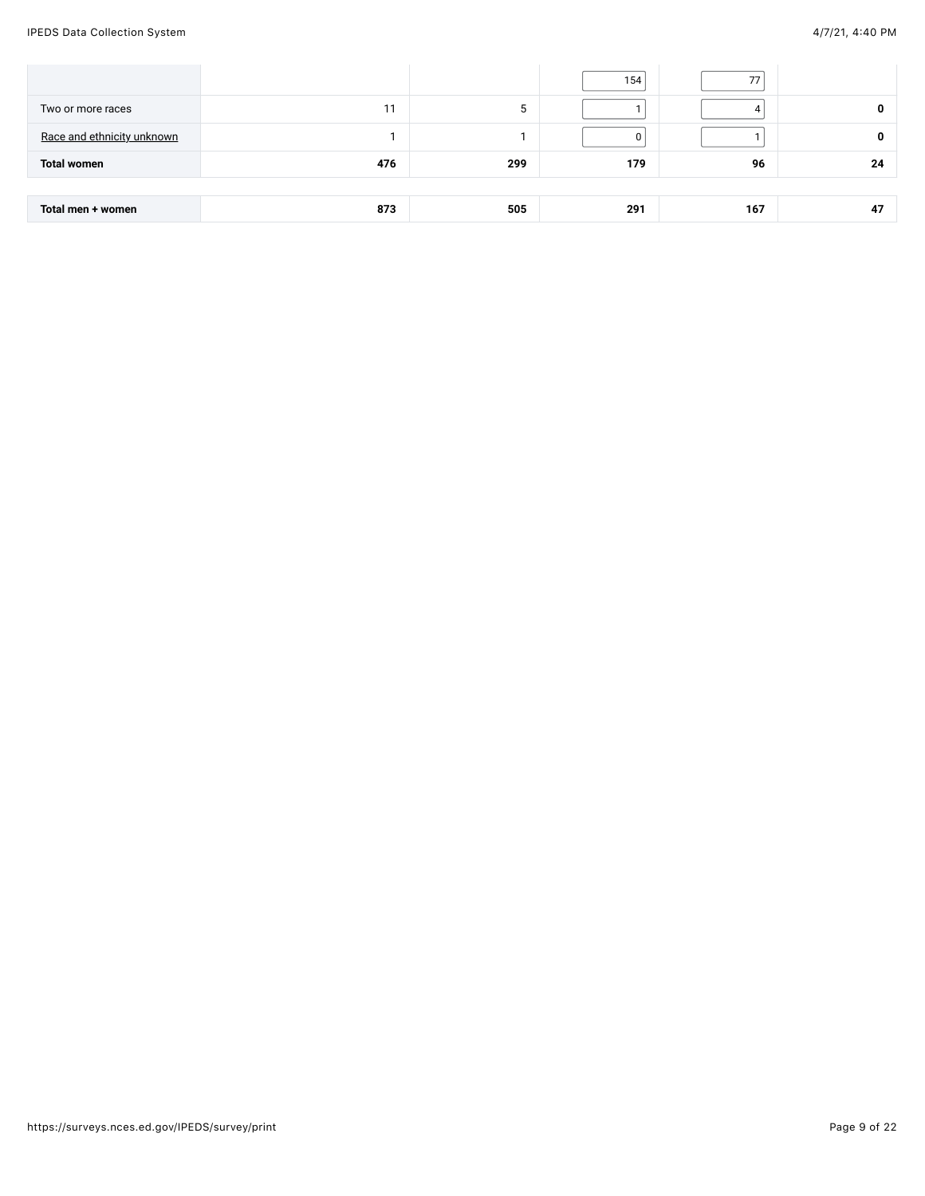IPEDS Data Collection System 4/7/21, 4:40 PM

|                            |     |     | 154 | 77  |    |
|----------------------------|-----|-----|-----|-----|----|
| Two or more races          | 11  | 5   |     |     | 0  |
| Race and ethnicity unknown |     |     |     |     | 0  |
| <b>Total women</b>         | 476 | 299 | 179 | 96  | 24 |
|                            |     |     |     |     |    |
| Total men + women          | 873 | 505 | 291 | 167 | 47 |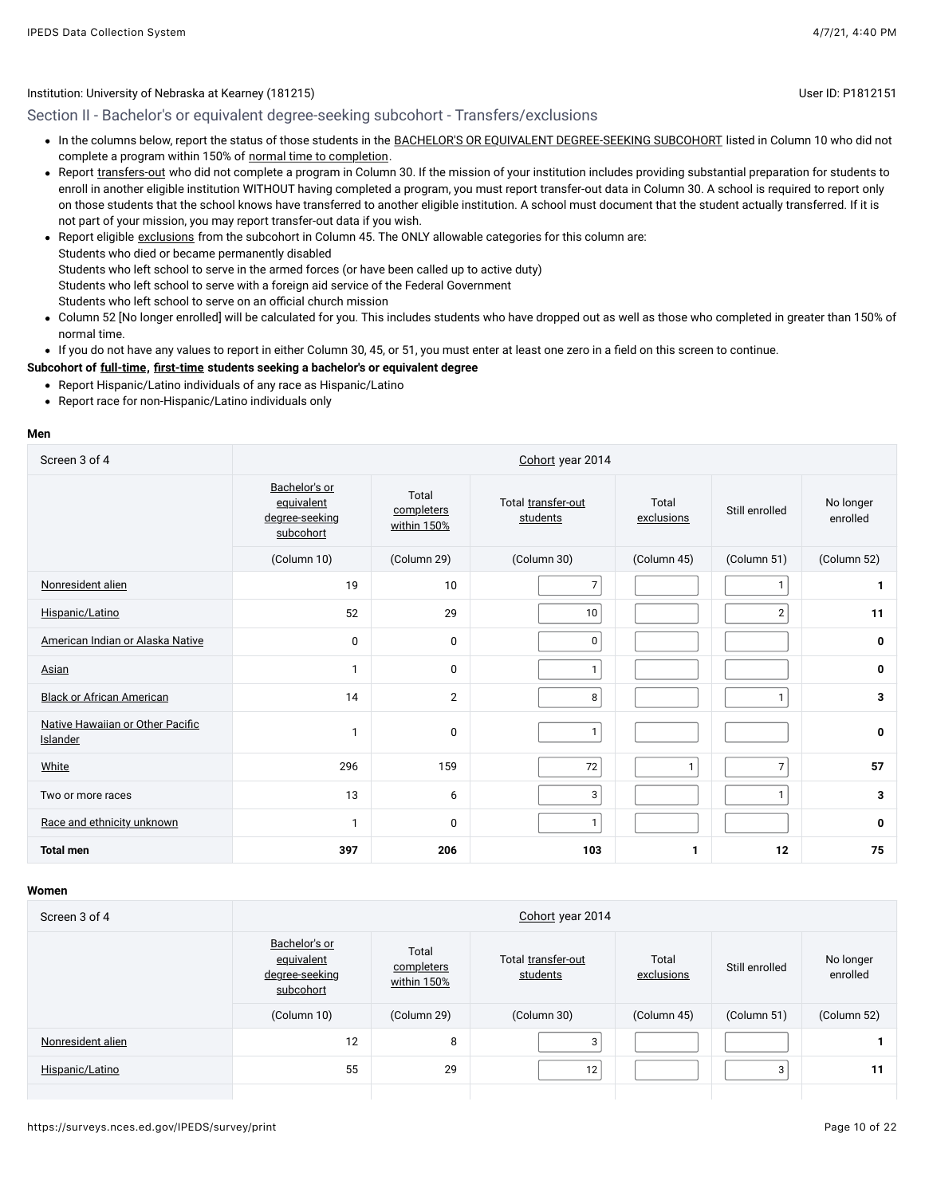Section II - Bachelor's or equivalent degree-seeking subcohort - Transfers/exclusions

- . In the columns below, report the status of those students in the [BACHELOR'S OR EQUIVALENT DEGREE-SEEKING SUBCOHORT](javascript:openglossary(79)) listed in Column 10 who did not complete a program within 150% of [normal time to completion.](javascript:openglossary(421))
- Report [transfers-out](javascript:openglossary(657)) who did not complete a program in Column 30. If the mission of your institution includes providing substantial preparation for students to enroll in another eligible institution WITHOUT having completed a program, you must report transfer-out data in Column 30. A school is required to report only on those students that the school knows have transferred to another eligible institution. A school must document that the student actually transferred. If it is not part of your mission, you may report transfer-out data if you wish.
- Report eligible [exclusions](javascript:openglossary(207)) from the subcohort in Column 45. The ONLY allowable categories for this column are: Students who died or became permanently disabled Students who left school to serve in the armed forces (or have been called up to active duty) Students who left school to serve with a foreign aid service of the Federal Government Students who left school to serve on an official church mission
- Column 52 [No longer enrolled] will be calculated for you. This includes students who have dropped out as well as those who completed in greater than 150% of normal time.

If you do not have any values to report in either Column 30, 45, or 51, you must enter at least one zero in a field on this screen to continue.

**Subcohort of [full-time](javascript:openglossary(259)), [first-time](javascript:openglossary(241)) students seeking a bachelor's or equivalent degree**

- Report Hispanic/Latino individuals of any race as Hispanic/Latino
- Report race for non-Hispanic/Latino individuals only

#### **Men**

| Screen 3 of 4                                | Cohort year 2014                                           |                                    |                                |                     |                |                       |  |  |  |
|----------------------------------------------|------------------------------------------------------------|------------------------------------|--------------------------------|---------------------|----------------|-----------------------|--|--|--|
|                                              | Bachelor's or<br>equivalent<br>degree-seeking<br>subcohort | Total<br>completers<br>within 150% | Total transfer-out<br>students | Total<br>exclusions | Still enrolled | No longer<br>enrolled |  |  |  |
|                                              | (Column 10)                                                | (Column 29)                        | (Column 30)                    | (Column 45)         | (Column 51)    | (Column 52)           |  |  |  |
| Nonresident alien                            | 19                                                         | 10                                 | 7                              |                     | $\mathbf{1}$   | 1                     |  |  |  |
| Hispanic/Latino                              | 52                                                         | 29                                 | 10                             |                     | $\overline{2}$ | 11                    |  |  |  |
| American Indian or Alaska Native             | $\mathbf 0$                                                | $\mathbf 0$                        | $\mathbf 0$                    |                     |                | 0                     |  |  |  |
| Asian                                        | $\mathbf{1}$                                               | 0                                  | $\mathbf{1}$                   |                     |                | 0                     |  |  |  |
| <b>Black or African American</b>             | 14                                                         | $\overline{2}$                     | 8                              |                     | $\mathbf{1}$   | 3                     |  |  |  |
| Native Hawaiian or Other Pacific<br>Islander |                                                            | 0                                  | $\mathbf{1}$                   |                     |                | 0                     |  |  |  |
| White                                        | 296                                                        | 159                                | 72                             | $\mathbf{1}$        | $\overline{7}$ | 57                    |  |  |  |
| Two or more races                            | 13                                                         | 6                                  | 3                              |                     | $\mathbf{1}$   | 3                     |  |  |  |
| Race and ethnicity unknown                   | $\mathbf{1}$                                               | 0                                  | $\mathbf{1}$                   |                     |                | 0                     |  |  |  |
| <b>Total men</b>                             | 397                                                        | 206                                | 103                            | 1                   | 12             | 75                    |  |  |  |

| Screen 3 of 4     | Cohort year 2014                                           |                                    |                                |                     |                |                       |  |  |  |
|-------------------|------------------------------------------------------------|------------------------------------|--------------------------------|---------------------|----------------|-----------------------|--|--|--|
|                   | Bachelor's or<br>equivalent<br>degree-seeking<br>subcohort | Total<br>completers<br>within 150% | Total transfer-out<br>students | Total<br>exclusions | Still enrolled | No longer<br>enrolled |  |  |  |
|                   | (Column 10)                                                | (Column 29)                        | (Column 30)                    | (Column 45)         | (Column 51)    | (Column 52)           |  |  |  |
| Nonresident alien | 12                                                         | 8                                  | 3                              |                     |                |                       |  |  |  |
| Hispanic/Latino   | 55                                                         | 29                                 | 12                             |                     | $\mathbf{r}$   | 11                    |  |  |  |
|                   |                                                            |                                    |                                |                     |                |                       |  |  |  |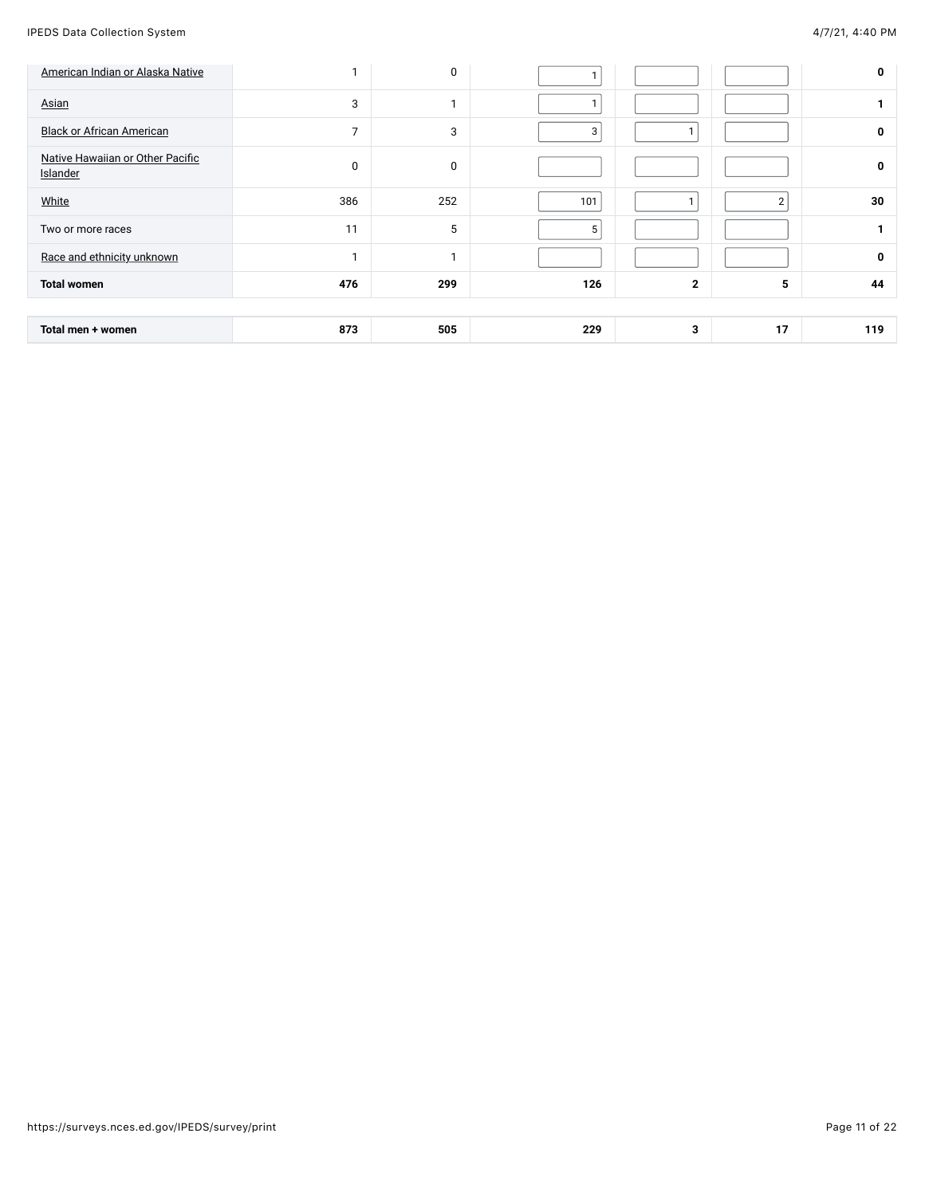| American Indian or Alaska Native             |                | 0   |     |              |                | 0   |
|----------------------------------------------|----------------|-----|-----|--------------|----------------|-----|
| Asian                                        | 3              | ٠   |     |              |                |     |
| <b>Black or African American</b>             | $\overline{7}$ | 3   | 3   |              |                | 0   |
| Native Hawaiian or Other Pacific<br>Islander | 0              | 0   |     |              |                | 0   |
| White                                        | 386            | 252 | 101 |              | $\overline{2}$ | 30  |
| Two or more races                            | 11             | 5   | 5   |              |                |     |
| Race and ethnicity unknown                   | и              | 1   |     |              |                | 0   |
| <b>Total women</b>                           | 476            | 299 | 126 | $\mathbf{2}$ | 5              | 44  |
|                                              |                |     |     |              |                |     |
| Total men + women                            | 873            | 505 | 229 | 3            | 17             | 119 |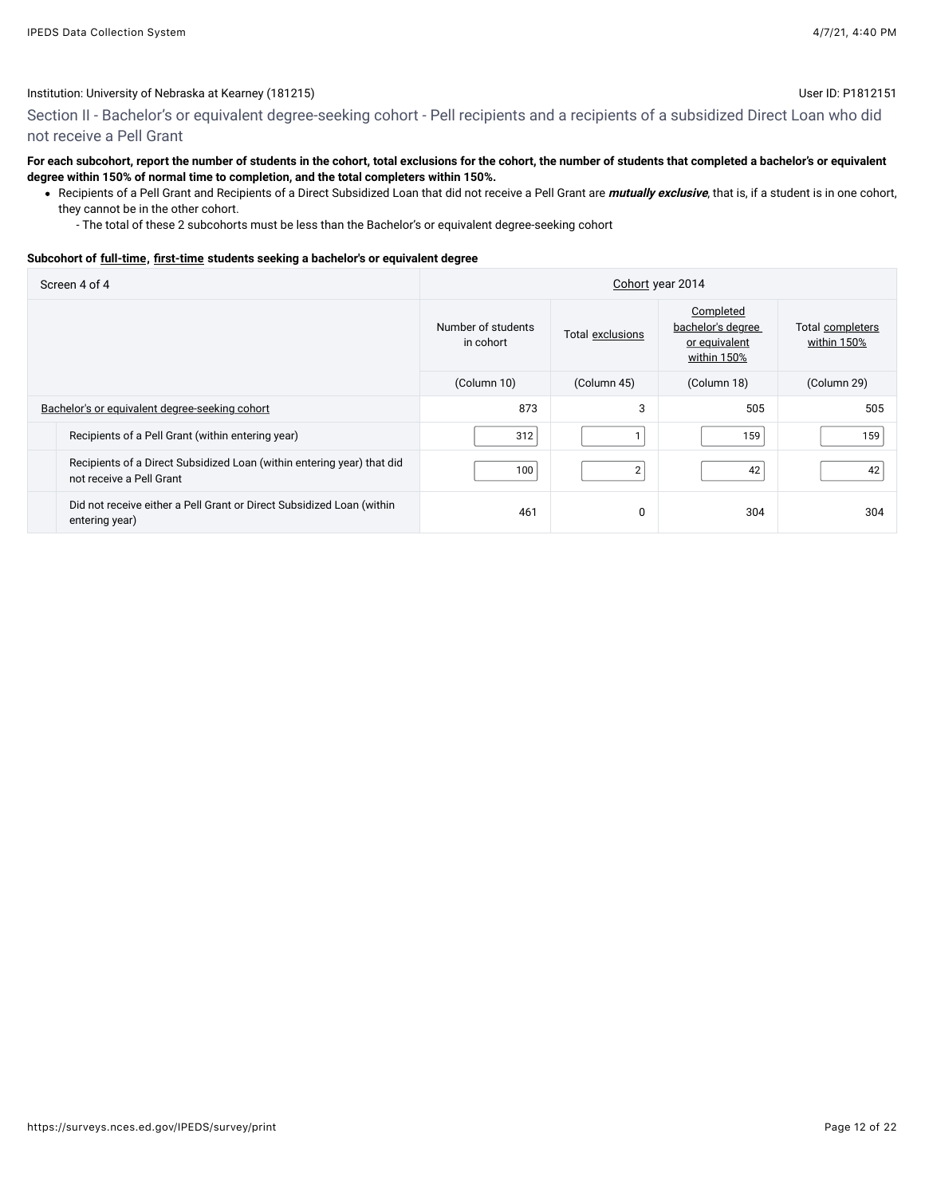## Section II - Bachelor's or equivalent degree-seeking cohort - Pell recipients and a recipients of a subsidized Direct Loan who did not receive a Pell Grant

#### **For each subcohort, report the number of students in the cohort, total exclusions for the cohort, the number of students that completed a bachelor's or equivalent degree within 150% of normal time to completion, and the total completers within 150%.**

- Recipients of a Pell Grant and Recipients of a Direct Subsidized Loan that did not receive a Pell Grant are **mutually exclusive**, that is, if a student is in one cohort, they cannot be in the other cohort.
	- The total of these 2 subcohorts must be less than the Bachelor's or equivalent degree-seeking cohort

#### **Subcohort of [full-time](javascript:openglossary(259)), [first-time](javascript:openglossary(241)) students seeking a bachelor's or equivalent degree**

| Screen 4 of 4                                                                                      | Cohort year 2014                |                  |                                                                |                                 |  |  |  |
|----------------------------------------------------------------------------------------------------|---------------------------------|------------------|----------------------------------------------------------------|---------------------------------|--|--|--|
|                                                                                                    | Number of students<br>in cohort | Total exclusions | Completed<br>bachelor's degree<br>or equivalent<br>within 150% | Total completers<br>within 150% |  |  |  |
|                                                                                                    | (Column 10)                     | (Column 45)      | (Column 18)                                                    | (Column 29)                     |  |  |  |
| Bachelor's or equivalent degree-seeking cohort                                                     | 873                             | 3                | 505                                                            | 505                             |  |  |  |
| Recipients of a Pell Grant (within entering year)                                                  | 312                             |                  | 159                                                            | 159                             |  |  |  |
| Recipients of a Direct Subsidized Loan (within entering year) that did<br>not receive a Pell Grant | 100                             | $\overline{2}$   | 42                                                             | 42                              |  |  |  |
| Did not receive either a Pell Grant or Direct Subsidized Loan (within<br>entering year)            | 461                             | $\Omega$         | 304                                                            | 304                             |  |  |  |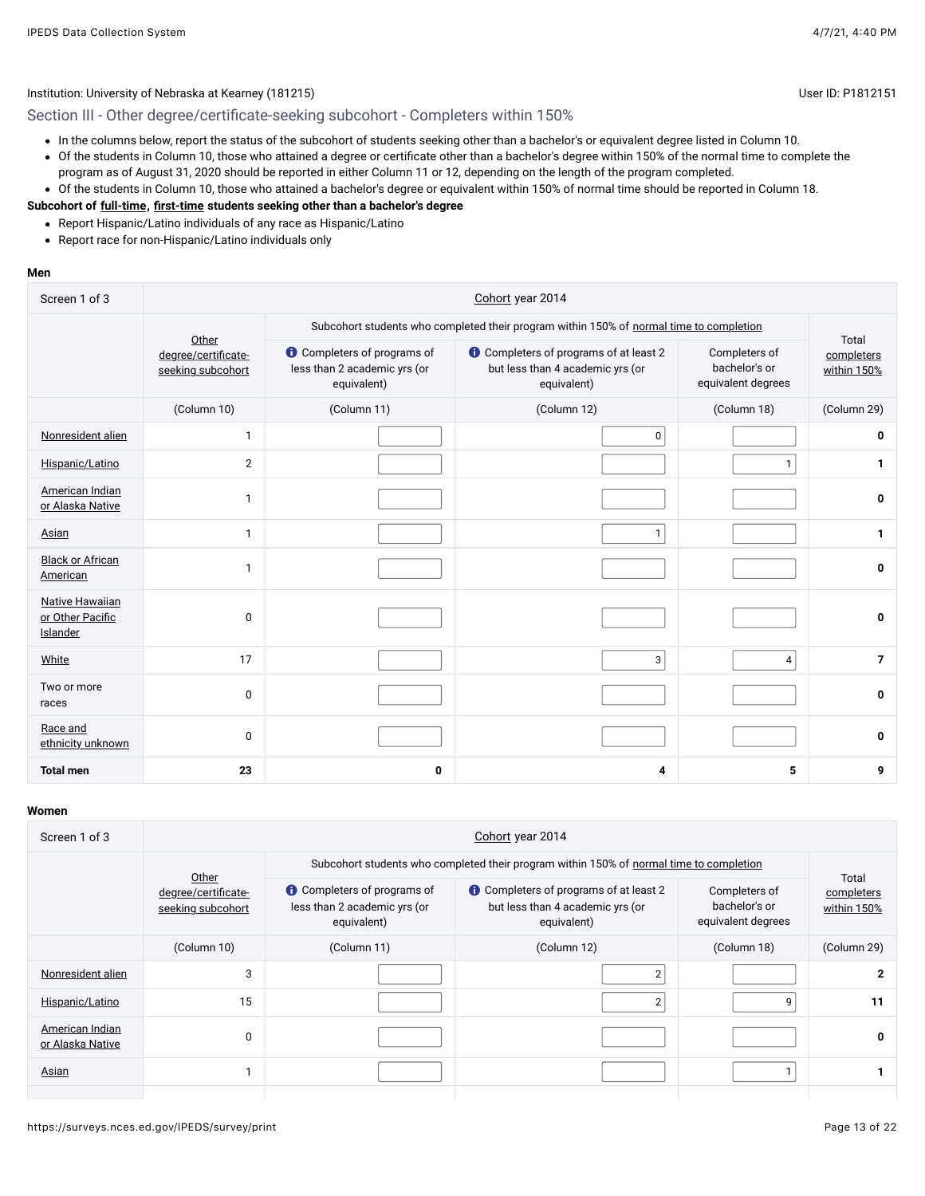Section III - Other degree/certificate-seeking subcohort - Completers within 150%

- In the columns below, report the status of the subcohort of students seeking other than a bachelor's or equivalent degree listed in Column 10.
- Of the students in Column 10, those who attained a degree or certificate other than a bachelor's degree within 150% of the normal time to complete the program as of August 31, 2020 should be reported in either Column 11 or 12, depending on the length of the program completed.
- Of the students in Column 10, those who attained a bachelor's degree or equivalent within 150% of normal time should be reported in Column 18.

#### **Subcohort of [full-time](javascript:openglossary(259)), [first-time](javascript:openglossary(241)) students seeking other than a bachelor's degree**

- Report Hispanic/Latino individuals of any race as Hispanic/Latino
- Report race for non-Hispanic/Latino individuals only

#### **Men**

| Screen 1 of 3                                          |                                                   |                                                                                   | Cohort year 2014                                                                                 |                                                      |                                    |  |  |
|--------------------------------------------------------|---------------------------------------------------|-----------------------------------------------------------------------------------|--------------------------------------------------------------------------------------------------|------------------------------------------------------|------------------------------------|--|--|
|                                                        |                                                   |                                                                                   | Subcohort students who completed their program within 150% of normal time to completion          |                                                      |                                    |  |  |
|                                                        | Other<br>degree/certificate-<br>seeking subcohort | <b>O</b> Completers of programs of<br>less than 2 academic yrs (or<br>equivalent) | <b>t</b> Completers of programs of at least 2<br>but less than 4 academic yrs (or<br>equivalent) | Completers of<br>bachelor's or<br>equivalent degrees | Total<br>completers<br>within 150% |  |  |
|                                                        | (Column 10)                                       | (Column 11)                                                                       | (Column 12)                                                                                      | (Column 18)                                          | (Column 29)                        |  |  |
| Nonresident alien                                      | $\mathbf{1}$                                      |                                                                                   | 0                                                                                                |                                                      | 0                                  |  |  |
| Hispanic/Latino                                        | $\overline{2}$                                    |                                                                                   |                                                                                                  | 1                                                    | $\mathbf{1}$                       |  |  |
| American Indian<br>or Alaska Native                    | $\mathbf{1}$                                      |                                                                                   |                                                                                                  |                                                      | 0                                  |  |  |
| <b>Asian</b>                                           | $\mathbf{1}$                                      |                                                                                   | $\mathbf{1}$                                                                                     |                                                      | $\mathbf{1}$                       |  |  |
| <b>Black or African</b><br>American                    | $\mathbf{1}$                                      |                                                                                   |                                                                                                  |                                                      | 0                                  |  |  |
| <b>Native Hawaiian</b><br>or Other Pacific<br>Islander | 0                                                 |                                                                                   |                                                                                                  |                                                      | 0                                  |  |  |
| White                                                  | 17                                                |                                                                                   | 3                                                                                                | 4 <sup>1</sup>                                       | $\overline{7}$                     |  |  |
| Two or more<br>races                                   | $\pmb{0}$                                         |                                                                                   |                                                                                                  |                                                      | 0                                  |  |  |
| Race and<br>ethnicity unknown                          | $\mathbf 0$                                       |                                                                                   |                                                                                                  |                                                      | 0                                  |  |  |
| <b>Total men</b>                                       | 23                                                | 0                                                                                 | 4                                                                                                | 5                                                    | 9                                  |  |  |

| Screen 1 of 3                       |                                          | Cohort year 2014                                                                  |                                                                                                |                                                      |                           |  |  |  |  |
|-------------------------------------|------------------------------------------|-----------------------------------------------------------------------------------|------------------------------------------------------------------------------------------------|------------------------------------------------------|---------------------------|--|--|--|--|
|                                     | Other                                    |                                                                                   | Subcohort students who completed their program within 150% of normal time to completion        | Total                                                |                           |  |  |  |  |
|                                     | degree/certificate-<br>seeking subcohort | <b>O</b> Completers of programs of<br>less than 2 academic yrs (or<br>equivalent) | <b>Completers of programs of at least 2</b><br>but less than 4 academic yrs (or<br>equivalent) | Completers of<br>bachelor's or<br>equivalent degrees | completers<br>within 150% |  |  |  |  |
|                                     | (Column 10)                              | (Column 11)                                                                       | (Column 12)                                                                                    | (Column 18)                                          | (Column 29)               |  |  |  |  |
| Nonresident alien                   | 3                                        |                                                                                   | $\overline{2}$                                                                                 |                                                      | 2                         |  |  |  |  |
| Hispanic/Latino                     | 15                                       |                                                                                   | $\overline{2}$                                                                                 | 9                                                    | 11                        |  |  |  |  |
| American Indian<br>or Alaska Native | 0                                        |                                                                                   |                                                                                                |                                                      | 0                         |  |  |  |  |
| Asian                               |                                          |                                                                                   |                                                                                                |                                                      |                           |  |  |  |  |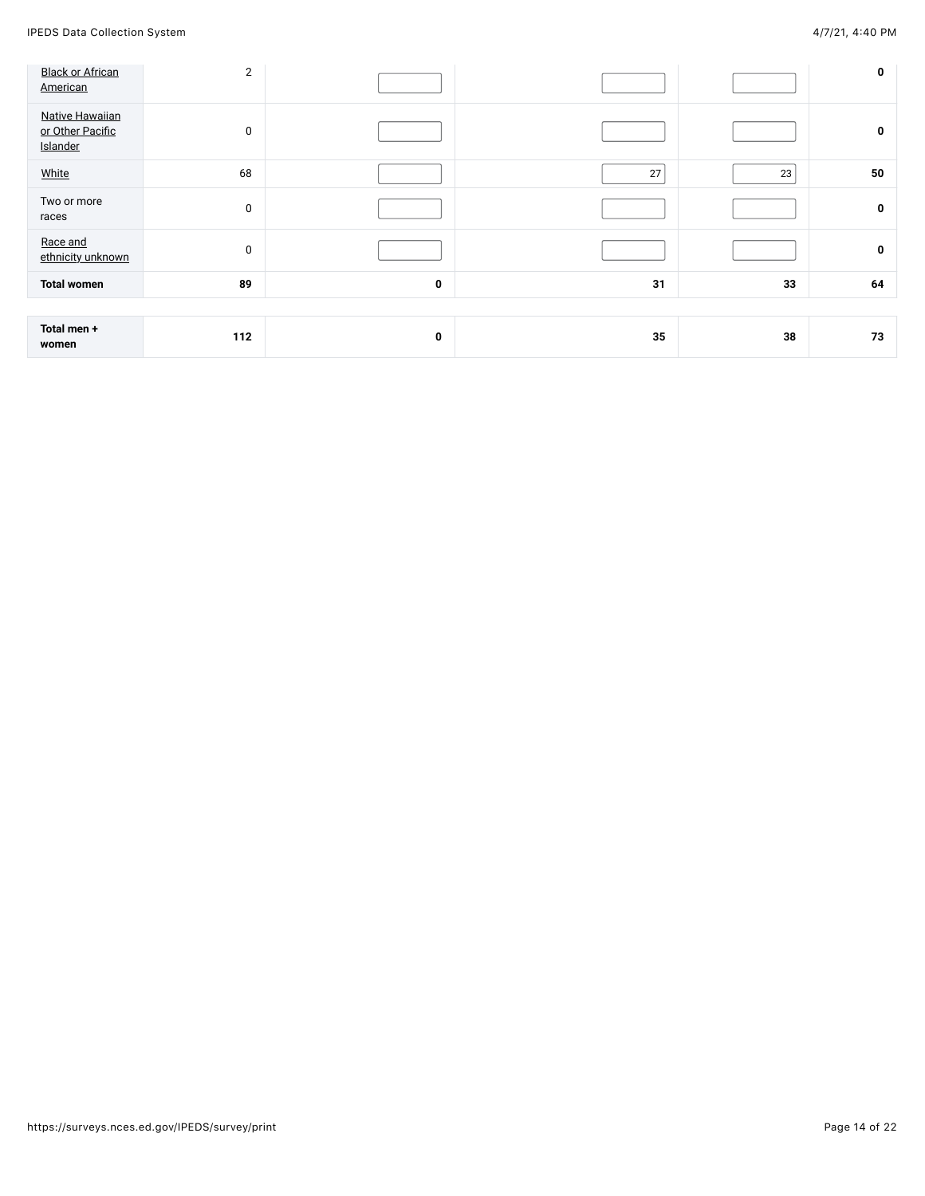| <b>Black or African</b><br>American                    | $\overline{2}$ |   |    |    | 0  |
|--------------------------------------------------------|----------------|---|----|----|----|
| <b>Native Hawaiian</b><br>or Other Pacific<br>Islander | $\mathbf 0$    |   |    |    | 0  |
| White                                                  | 68             |   | 27 | 23 | 50 |
| Two or more<br>races                                   | $\mathbf 0$    |   |    |    | 0  |
| Race and<br>ethnicity unknown                          | $\bf{0}$       |   |    |    | 0  |
| <b>Total women</b>                                     | 89             | 0 | 31 | 33 | 64 |
|                                                        |                |   |    |    |    |
| Total men +<br>women                                   | 112            | 0 | 35 | 38 | 73 |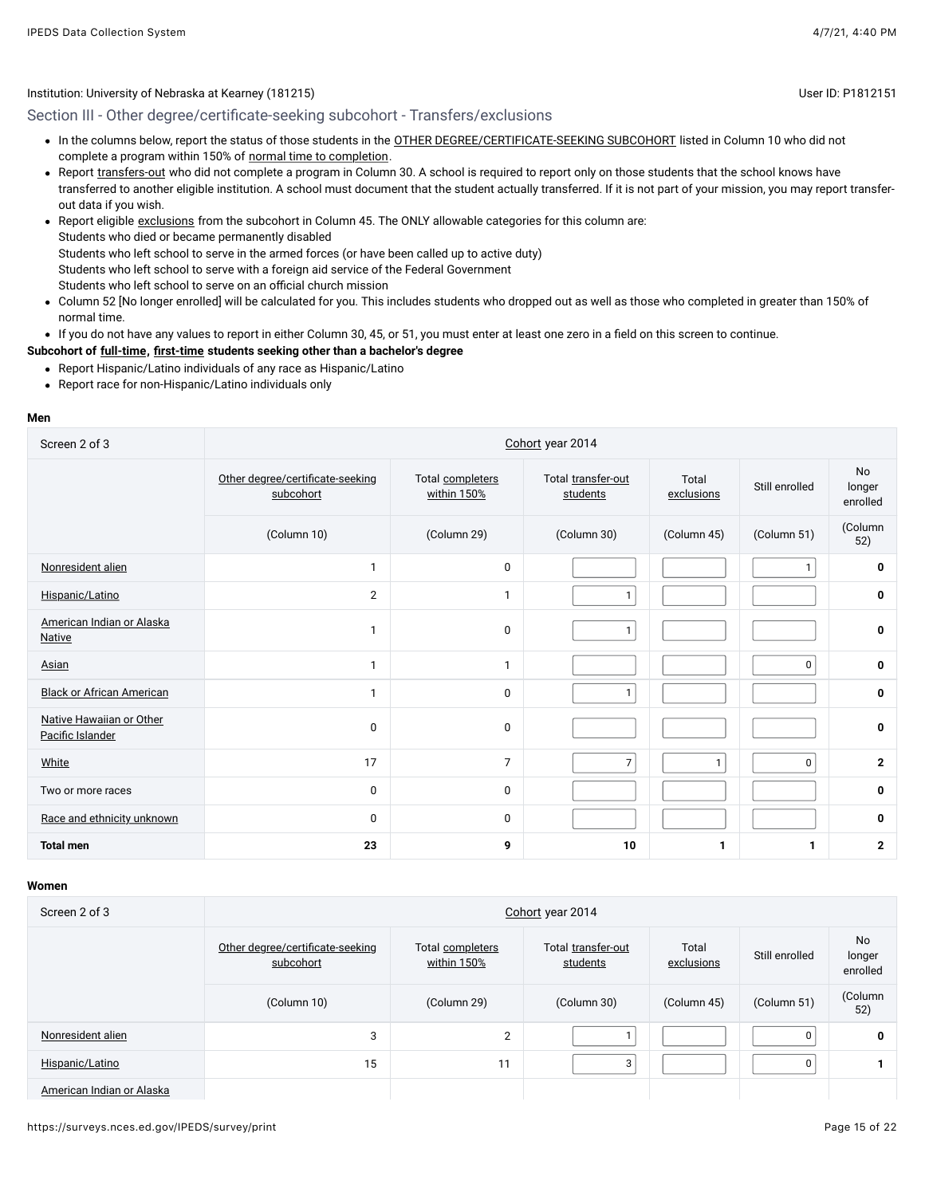## Section III - Other degree/certificate-seeking subcohort - Transfers/exclusions

- . In the columns below, report the status of those students in the [OTHER DEGREE/CERTIFICATE-SEEKING SUBCOHORT](javascript:openglossary(441)) listed in Column 10 who did not complete a program within 150% of [normal time to completion.](javascript:openglossary(421))
- Report [transfers-out](javascript:openglossary(657)) who did not complete a program in Column 30. A school is required to report only on those students that the school knows have transferred to another eligible institution. A school must document that the student actually transferred. If it is not part of your mission, you may report transferout data if you wish.
- Report eligible [exclusions](javascript:openglossary(207)) from the subcohort in Column 45. The ONLY allowable categories for this column are: Students who died or became permanently disabled Students who left school to serve in the armed forces (or have been called up to active duty) Students who left school to serve with a foreign aid service of the Federal Government Students who left school to serve on an official church mission
- Column 52 [No longer enrolled] will be calculated for you. This includes students who dropped out as well as those who completed in greater than 150% of normal time.
- If you do not have any values to report in either Column 30, 45, or 51, you must enter at least one zero in a field on this screen to continue.

#### **Subcohort of [full-time](javascript:openglossary(259)), [first-time](javascript:openglossary(241)) students seeking other than a bachelor's degree**

- Report Hispanic/Latino individuals of any race as Hispanic/Latino
- Report race for non-Hispanic/Latino individuals only

#### **Men**

| Screen 2 of 3                                | Cohort year 2014                              |                                 |                                |                     |                |                                 |  |  |
|----------------------------------------------|-----------------------------------------------|---------------------------------|--------------------------------|---------------------|----------------|---------------------------------|--|--|
|                                              | Other degree/certificate-seeking<br>subcohort | Total completers<br>within 150% | Total transfer-out<br>students | Total<br>exclusions | Still enrolled | <b>No</b><br>longer<br>enrolled |  |  |
|                                              | (Column 10)                                   | (Column 29)                     | (Column 30)                    | (Column 45)         | (Column 51)    | (Column<br>52)                  |  |  |
| Nonresident alien                            | $\mathbf{1}$                                  | 0                               |                                |                     |                | 0                               |  |  |
| Hispanic/Latino                              | $\overline{2}$                                | $\mathbf{1}$                    | $\mathbf{1}$                   |                     |                | 0                               |  |  |
| American Indian or Alaska<br><b>Native</b>   | $\mathbf{1}$                                  | $\mathbf 0$                     | $\mathbf{1}$                   |                     |                | 0                               |  |  |
| Asian                                        | $\mathbf{1}$                                  | $\mathbf{1}$                    |                                |                     | 0              | 0                               |  |  |
| <b>Black or African American</b>             | $\mathbf{1}$                                  | $\mathbf 0$                     | $\mathbf{1}$                   |                     |                | 0                               |  |  |
| Native Hawaiian or Other<br>Pacific Islander | $\mathbf 0$                                   | 0                               |                                |                     |                | $\bf{0}$                        |  |  |
| White                                        | 17                                            | $\overline{7}$                  | $\overline{7}$                 | $\mathbf{1}$        | 0              | $\mathbf{2}$                    |  |  |
| Two or more races                            | 0                                             | $\mathbf 0$                     |                                |                     |                | 0                               |  |  |
| Race and ethnicity unknown                   | 0                                             | $\mathbf 0$                     |                                |                     |                | 0                               |  |  |
| <b>Total men</b>                             | 23                                            | 9                               | 10                             | 1                   | 1              | $\mathbf{2}$                    |  |  |

#### **Women**

| Screen 2 of 3             | Cohort year 2014                              |                                 |                                |                     |                |                                 |  |  |
|---------------------------|-----------------------------------------------|---------------------------------|--------------------------------|---------------------|----------------|---------------------------------|--|--|
|                           | Other degree/certificate-seeking<br>subcohort | Total completers<br>within 150% | Total transfer-out<br>students | Total<br>exclusions | Still enrolled | <b>No</b><br>longer<br>enrolled |  |  |
|                           | (Column 10)                                   | (Column 29)                     | (Column 30)                    | (Column 45)         | (Column 51)    | (Column<br>52)                  |  |  |
| Nonresident alien         | 3                                             | 2                               |                                |                     | 0              | 0                               |  |  |
| Hispanic/Latino           | 15                                            | 11                              | 3                              |                     | $\mathbf{0}$   |                                 |  |  |
| American Indian or Alaska |                                               |                                 |                                |                     |                |                                 |  |  |

https://surveys.nces.ed.gov/IPEDS/survey/print Page 15 of 22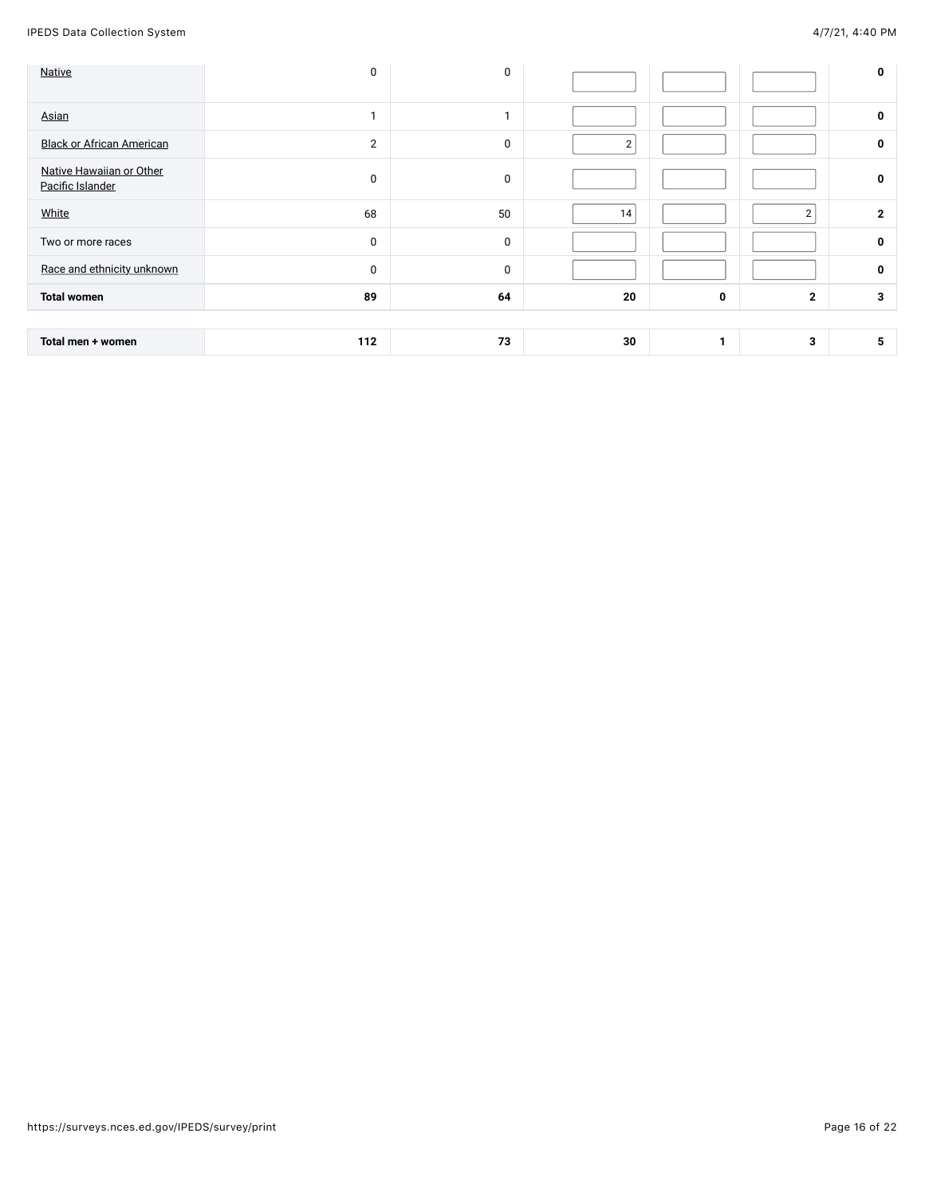| <b>Native</b>                                | $\mathbf 0$    | 0           |                |   |                | 0              |
|----------------------------------------------|----------------|-------------|----------------|---|----------------|----------------|
| Asian                                        | и              |             |                |   |                | 0              |
| <b>Black or African American</b>             | $\overline{2}$ | $\mathbf 0$ | $\overline{2}$ |   |                | 0              |
| Native Hawaiian or Other<br>Pacific Islander | 0              | $\bf{0}$    |                |   |                | 0              |
| White                                        | 68             | 50          | 14             |   | $\overline{2}$ | $\overline{2}$ |
| Two or more races                            | $\mathbf 0$    | $\mathbf 0$ |                |   |                | 0              |
| Race and ethnicity unknown                   | $\mathbf 0$    | $\mathbf 0$ |                |   |                | 0              |
| <b>Total women</b>                           | 89             | 64          | 20             | 0 | $\overline{2}$ | 3              |
|                                              |                |             |                |   |                |                |
| Total men + women                            | 112            | 73          | 30             | 1 | 3              | 5              |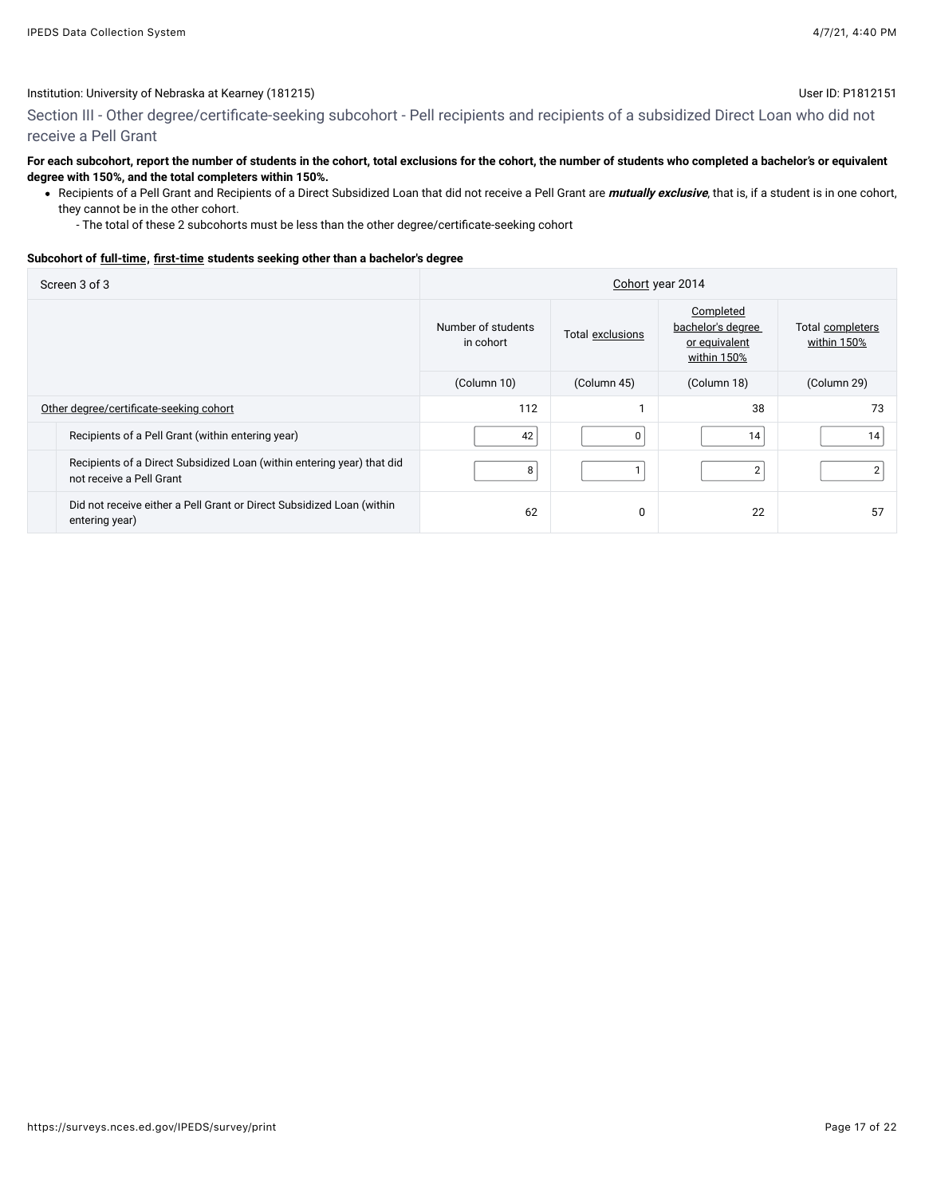Section III - Other degree/certificate-seeking subcohort - Pell recipients and recipients of a subsidized Direct Loan who did not receive a Pell Grant

#### **For each subcohort, report the number of students in the cohort, total exclusions for the cohort, the number of students who completed a bachelor's or equivalent degree with 150%, and the total completers within 150%.**

- Recipients of a Pell Grant and Recipients of a Direct Subsidized Loan that did not receive a Pell Grant are **mutually exclusive**, that is, if a student is in one cohort, they cannot be in the other cohort.
	- The total of these 2 subcohorts must be less than the other degree/certificate-seeking cohort

#### **Subcohort of [full-time](javascript:openglossary(259)), [first-time](javascript:openglossary(241)) students seeking other than a bachelor's degree**

| Screen 3 of 3                                                                                      | Cohort year 2014                |                  |                                                                |                                 |  |
|----------------------------------------------------------------------------------------------------|---------------------------------|------------------|----------------------------------------------------------------|---------------------------------|--|
|                                                                                                    | Number of students<br>in cohort | Total exclusions | Completed<br>bachelor's degree<br>or equivalent<br>within 150% | Total completers<br>within 150% |  |
|                                                                                                    | (Column 10)                     | (Column 45)      | (Column 18)                                                    | (Column 29)                     |  |
| Other degree/certificate-seeking cohort                                                            | 112                             |                  | 38                                                             | 73                              |  |
| Recipients of a Pell Grant (within entering year)                                                  | 42                              | 0                | 14                                                             | 14                              |  |
| Recipients of a Direct Subsidized Loan (within entering year) that did<br>not receive a Pell Grant | 8                               |                  | $\overline{2}$                                                 | 2                               |  |
| Did not receive either a Pell Grant or Direct Subsidized Loan (within<br>entering year)            | 62                              | 0                | 22                                                             | 57                              |  |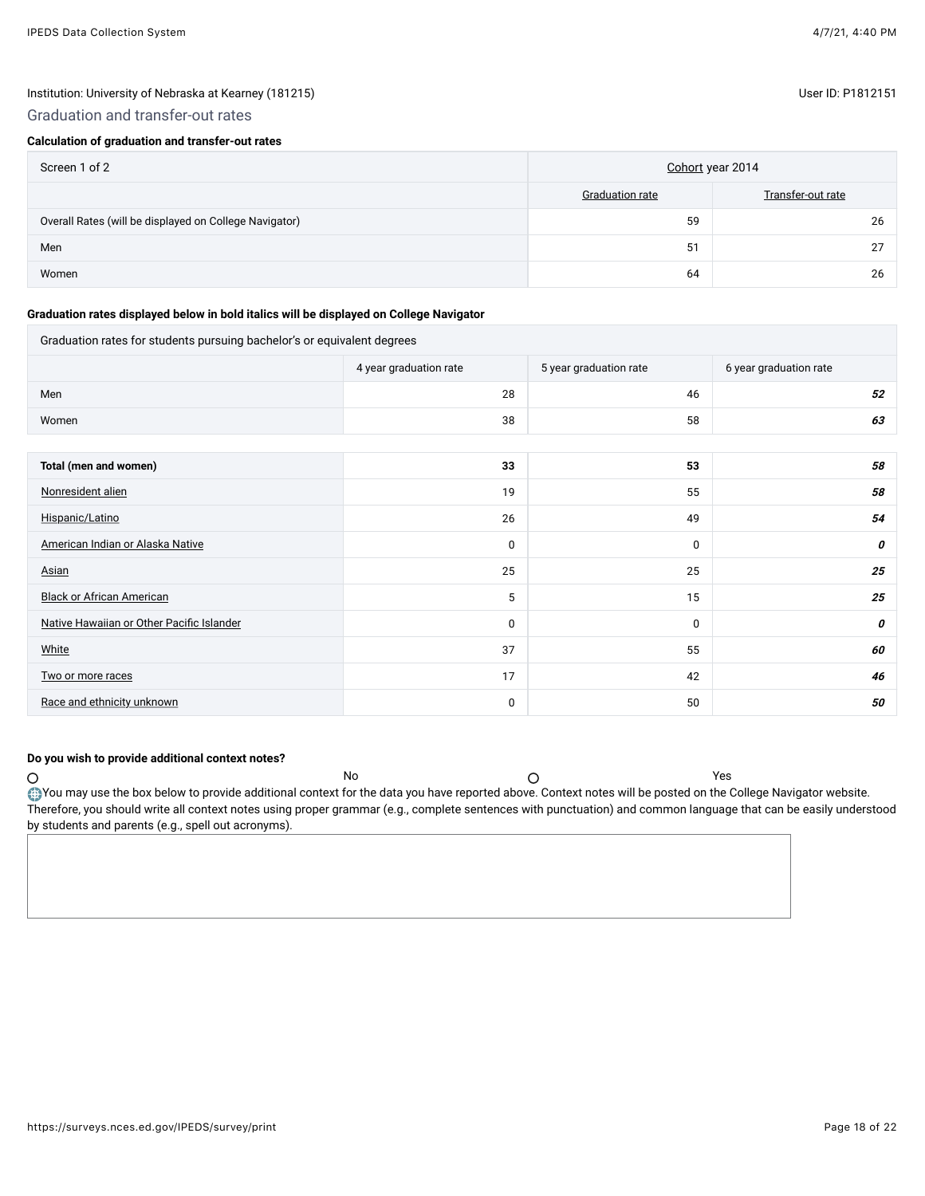## Graduation and transfer-out rates

## **Calculation of graduation and transfer-out rates**

| Screen 1 of 2                                          | Cohort year 2014 |                   |  |
|--------------------------------------------------------|------------------|-------------------|--|
|                                                        | Graduation rate  | Transfer-out rate |  |
| Overall Rates (will be displayed on College Navigator) | 59               | 26                |  |
| Men                                                    | 51               | רמ                |  |
| Women                                                  | 64               | 26                |  |

#### **Graduation rates displayed below in bold italics will be displayed on College Navigator**

## Graduation rates for students pursuing bachelor's or equivalent degrees

|                                           | 4 year graduation rate | 5 year graduation rate | 6 year graduation rate |
|-------------------------------------------|------------------------|------------------------|------------------------|
| Men                                       | 28                     | 46                     | 52                     |
| Women                                     | 38                     | 58                     | 63                     |
|                                           |                        |                        |                        |
| Total (men and women)                     | 33                     | 53                     | 58                     |
| Nonresident alien                         | 19                     | 55                     | 58                     |
| Hispanic/Latino                           | 26                     | 49                     | 54                     |
| American Indian or Alaska Native          | 0                      | 0                      | 0                      |
| Asian                                     | 25                     | 25                     | 25                     |
| <b>Black or African American</b>          | 5                      | 15                     | 25                     |
| Native Hawaiian or Other Pacific Islander | 0                      | 0                      | 0                      |
| White                                     | 37                     | 55                     | 60                     |
| Two or more races                         | 17                     | 42                     | 46                     |
| Race and ethnicity unknown                | 0                      | 50                     | 50                     |

#### **Do you wish to provide additional context notes?**

 $\circ$ No Yes You may use the box below to provide additional context for the data you have reported above. Context notes will be posted on the College Navigator website. Therefore, you should write all context notes using proper grammar (e.g., complete sentences with punctuation) and common language that can be easily understood by students and parents (e.g., spell out acronyms).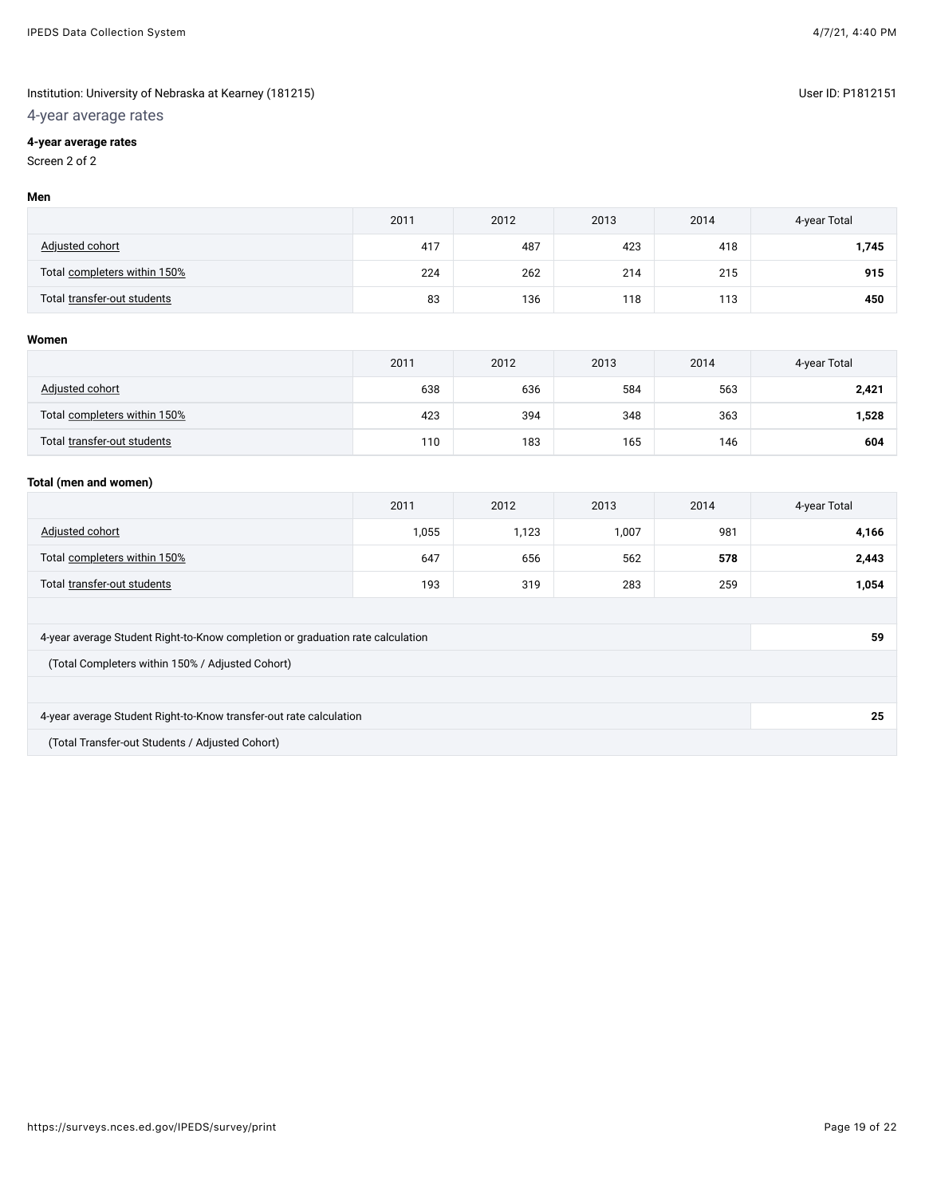## 4-year average rates

## **4-year average rates**

## Screen 2 of 2

#### **Men**

|                              | 2011 | 2012 | 2013 | 2014 | 4-year Total |
|------------------------------|------|------|------|------|--------------|
| <b>Adjusted cohort</b>       | 417  | 487  | 423  | 418  | 1,745        |
| Total completers within 150% | 224  | 262  | 214  | 215  | 915          |
| Total transfer-out students  | 83   | 136  | 118  | 113  | 450          |

#### **Women**

|                              | 2011 | 2012 | 2013 | 2014 | 4-year Total |
|------------------------------|------|------|------|------|--------------|
| Adjusted cohort              | 638  | 636  | 584  | 563  | 2,421        |
| Total completers within 150% | 423  | 394  | 348  | 363  | 1,528        |
| Total transfer-out students  | 110  | 183  | 165  | 146  | 604          |

#### **Total (men and women)**

|                              | 2011  | 2012  | 2013  | 2014 | 4-year Total |
|------------------------------|-------|-------|-------|------|--------------|
| Adjusted cohort              | 1,055 | 1,123 | 1,007 | 981  | 4,166        |
| Total completers within 150% | 647   | 656   | 562   | 578  | 2,443        |
| Total transfer-out students  | 193   | 319   | 283   | 259  | 1,054        |
|                              |       |       |       |      |              |

| 4-year average Student Right-to-Know completion or graduation rate calculation | 59 |
|--------------------------------------------------------------------------------|----|
| (Total Completers within 150% / Adjusted Cohort)                               |    |
|                                                                                |    |
| 4-year average Student Right-to-Know transfer-out rate calculation             | 25 |
|                                                                                |    |

(Total Transfer-out Students / Adjusted Cohort)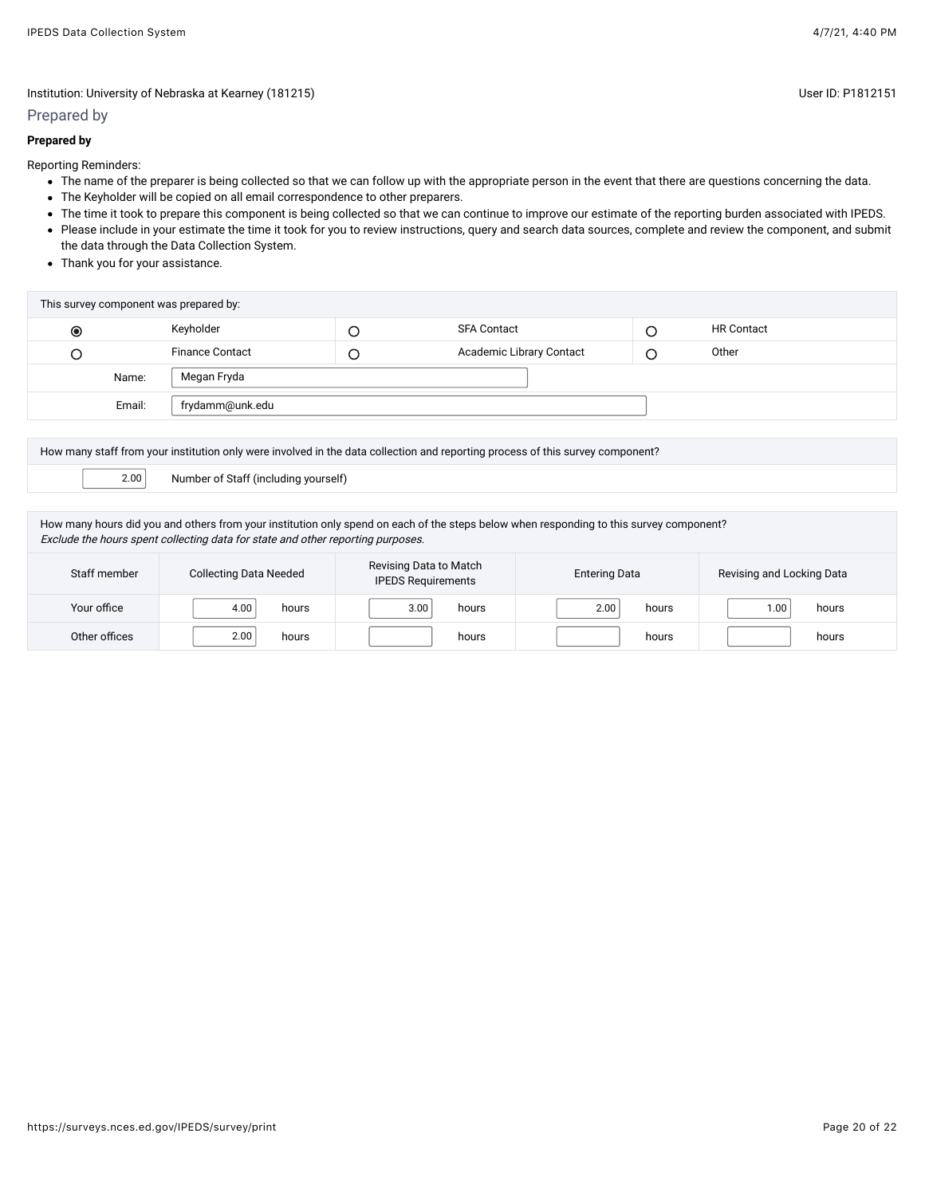#### Prepared by

#### **Prepared by**

Reporting Reminders:

- The name of the preparer is being collected so that we can follow up with the appropriate person in the event that there are questions concerning the data.
- The Keyholder will be copied on all email correspondence to other preparers.
- The time it took to prepare this component is being collected so that we can continue to improve our estimate of the reporting burden associated with IPEDS. • Please include in your estimate the time it took for you to review instructions, query and search data sources, complete and review the component, and submit
- the data through the Data Collection System.
- Thank you for your assistance.

| This survey component was prepared by: |                        |   |                          |   |                   |
|----------------------------------------|------------------------|---|--------------------------|---|-------------------|
| $\circledcirc$                         | Keyholder              | └ | <b>SFA Contact</b>       | ◡ | <b>HR Contact</b> |
|                                        | <b>Finance Contact</b> | U | Academic Library Contact |   | Other             |
| Name:                                  | Megan Fryda            |   |                          |   |                   |
| Email:                                 | frydamm@unk.edu        |   |                          |   |                   |
|                                        |                        |   |                          |   |                   |

How many staff from your institution only were involved in the data collection and reporting process of this survey component?

2.00 Number of Staff (including yourself)

How many hours did you and others from your institution only spend on each of the steps below when responding to this survey component? Exclude the hours spent collecting data for state and other reporting purposes.

| Staff member  | <b>Collecting Data Needed</b> | Revising Data to Match<br><b>IPEDS Requirements</b> | <b>Entering Data</b>       | Revising and Locking Data |  |
|---------------|-------------------------------|-----------------------------------------------------|----------------------------|---------------------------|--|
| Your office   | 4.00<br>hours                 | 3.00<br>hours                                       | 2.00 <sub>1</sub><br>hours | 1.00<br>hours             |  |
| Other offices | 2.00<br>hours                 | hours                                               | hours                      | hours                     |  |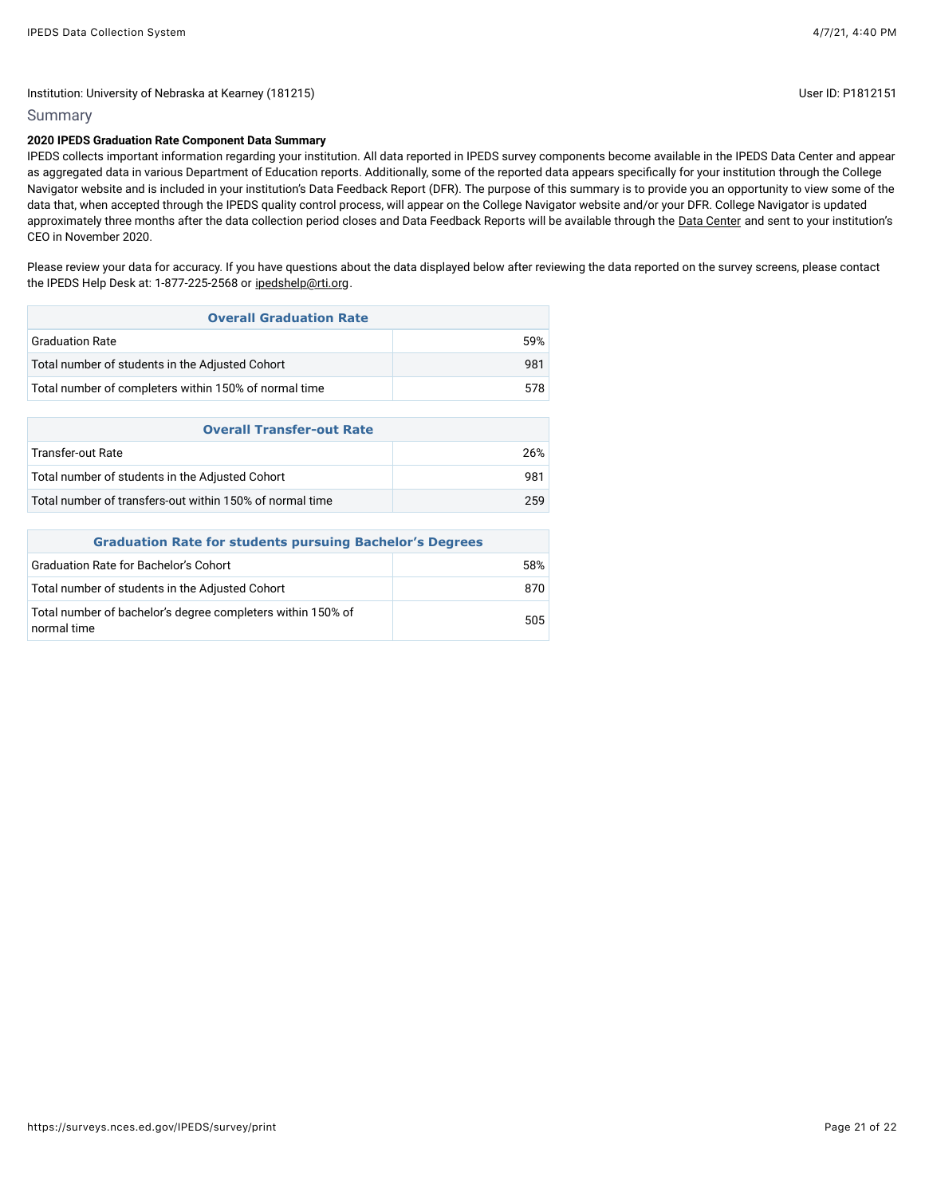## Institution: University of Nebraska at Kearney (181215) Contract the Contract of Contract of Disease ID: P1812151

## Summary

## **2020 IPEDS Graduation Rate Component Data Summary**

IPEDS collects important information regarding your institution. All data reported in IPEDS survey components become available in the IPEDS Data Center and appear as aggregated data in various Department of Education reports. Additionally, some of the reported data appears specifically for your institution through the College Navigator website and is included in your institution's Data Feedback Report (DFR). The purpose of this summary is to provide you an opportunity to view some of the data that, when accepted through the IPEDS quality control process, will appear on the College Navigator website and/or your DFR. College Navigator is updated approximately three months after the data collection period closes and Data Feedback Reports will be available through the [Data Center](https://nces.ed.gov/ipeds/use-the-data) and sent to your institution's CEO in November 2020.

Please review your data for accuracy. If you have questions about the data displayed below after reviewing the data reported on the survey screens, please contact the IPEDS Help Desk at: 1-877-225-2568 or [ipedshelp@rti.org](mailto:ipedshelp@rti.org).

| <b>Overall Graduation Rate</b>                        |     |
|-------------------------------------------------------|-----|
| <b>Graduation Rate</b>                                | 59% |
| Total number of students in the Adjusted Cohort       | 981 |
| Total number of completers within 150% of normal time | 578 |
|                                                       |     |
| <b>Overall Transfer-out Rate</b>                      |     |
| Transfer-out Rate                                     | 26% |
|                                                       |     |

| Total number of students in the Adjusted Cohort          | 981 |
|----------------------------------------------------------|-----|
| Total number of transfers-out within 150% of normal time | 259 |
|                                                          |     |

| <b>Graduation Rate for students pursuing Bachelor's Degrees</b>            |     |  |  |  |
|----------------------------------------------------------------------------|-----|--|--|--|
| <b>Graduation Rate for Bachelor's Cohort</b>                               | 58% |  |  |  |
| Total number of students in the Adjusted Cohort                            | 870 |  |  |  |
| Total number of bachelor's degree completers within 150% of<br>normal time | 505 |  |  |  |